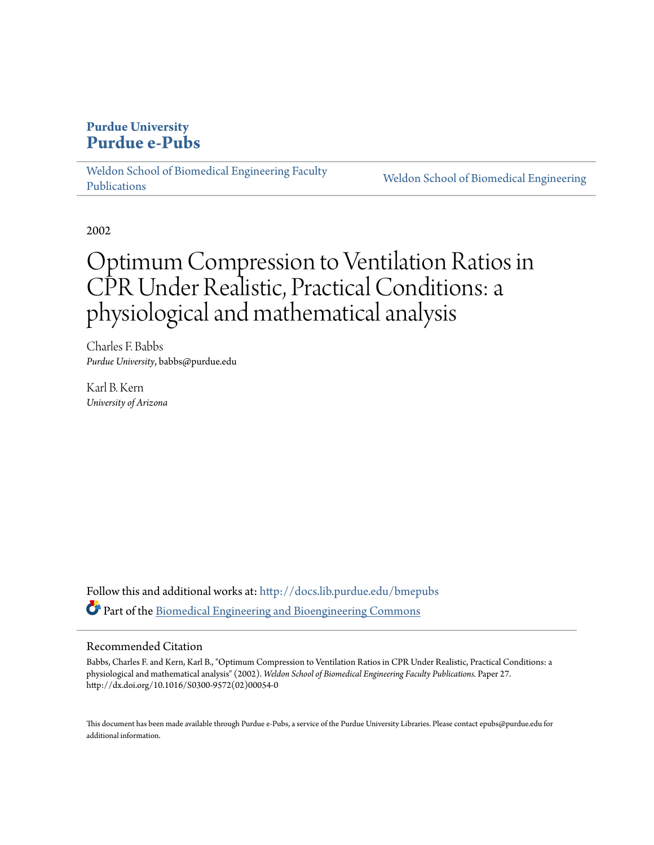## **Purdue University [Purdue e-Pubs](http://docs.lib.purdue.edu?utm_source=docs.lib.purdue.edu%2Fbmepubs%2F27&utm_medium=PDF&utm_campaign=PDFCoverPages)**

[Weldon School of Biomedical Engineering Faculty](http://docs.lib.purdue.edu/bmepubs?utm_source=docs.lib.purdue.edu%2Fbmepubs%2F27&utm_medium=PDF&utm_campaign=PDFCoverPages) [Publications](http://docs.lib.purdue.edu/bmepubs?utm_source=docs.lib.purdue.edu%2Fbmepubs%2F27&utm_medium=PDF&utm_campaign=PDFCoverPages)

[Weldon School of Biomedical Engineering](http://docs.lib.purdue.edu/bme?utm_source=docs.lib.purdue.edu%2Fbmepubs%2F27&utm_medium=PDF&utm_campaign=PDFCoverPages)

2002

# Optimum Compression to Ventilation Ratios in CPR Under Realistic, Practical Conditions: a physiological and mathematical analysis

Charles F. Babbs *Purdue University*, babbs@purdue.edu

Karl B. Kern *University of Arizona*

Follow this and additional works at: [http://docs.lib.purdue.edu/bmepubs](http://docs.lib.purdue.edu/bmepubs?utm_source=docs.lib.purdue.edu%2Fbmepubs%2F27&utm_medium=PDF&utm_campaign=PDFCoverPages) Part of the [Biomedical Engineering and Bioengineering Commons](http://network.bepress.com/hgg/discipline/229?utm_source=docs.lib.purdue.edu%2Fbmepubs%2F27&utm_medium=PDF&utm_campaign=PDFCoverPages)

#### Recommended Citation

Babbs, Charles F. and Kern, Karl B., "Optimum Compression to Ventilation Ratios in CPR Under Realistic, Practical Conditions: a physiological and mathematical analysis" (2002). *Weldon School of Biomedical Engineering Faculty Publications.* Paper 27. http://dx.doi.org/10.1016/S0300-9572(02)00054-0

This document has been made available through Purdue e-Pubs, a service of the Purdue University Libraries. Please contact epubs@purdue.edu for additional information.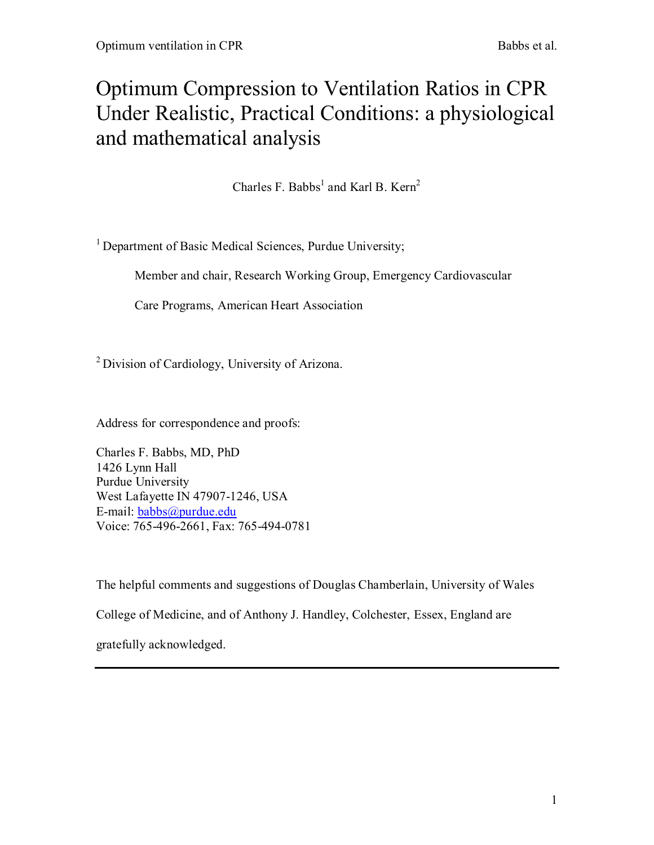# Optimum Compression to Ventilation Ratios in CPR Under Realistic, Practical Conditions: a physiological and mathematical analysis

Charles F. Babbs<sup>1</sup> and Karl B. Kern<sup>2</sup>

<sup>1</sup> Department of Basic Medical Sciences, Purdue University;

Member and chair, Research Working Group, Emergency Cardiovascular

Care Programs, American Heart Association

<sup>2</sup>Division of Cardiology, University of Arizona.

Address for correspondence and proofs:

Charles F. Babbs, MD, PhD 1426 Lynn Hall Purdue University West Lafayette IN 47907-1246, USA E-mail: [babbs@purdue.edu](mailto:babbs@purdue.edu) Voice: 765-496-2661, Fax: 765-494-0781

The helpful comments and suggestions of Douglas Chamberlain, University of Wales

College of Medicine, and of Anthony J. Handley, Colchester, Essex, England are

gratefully acknowledged.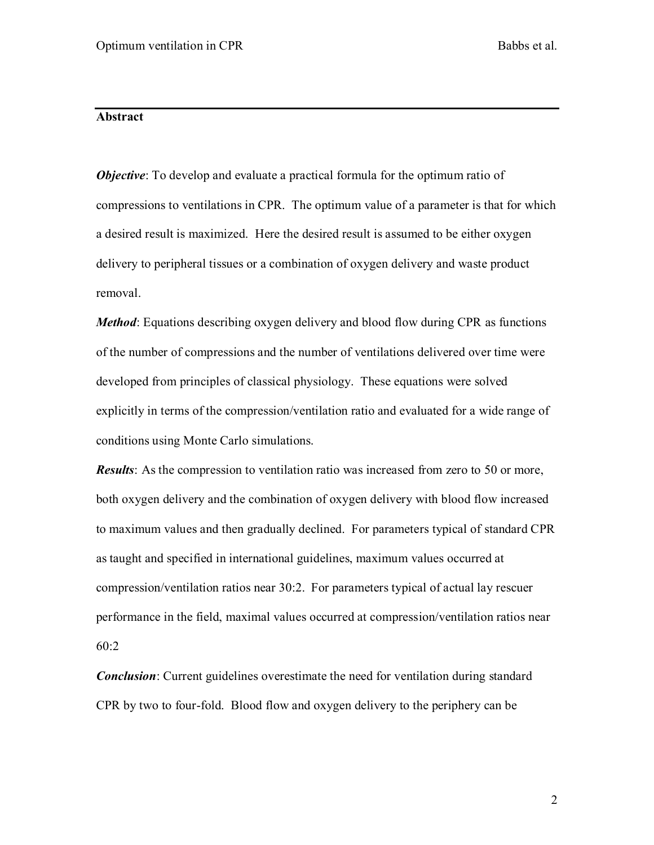### **Abstract**

*Objective*: To develop and evaluate a practical formula for the optimum ratio of compressions to ventilations in CPR. The optimum value of a parameter is that for which a desired result is maximized. Here the desired result is assumed to be either oxygen delivery to peripheral tissues or a combination of oxygen delivery and waste product removal.

*Method*: Equations describing oxygen delivery and blood flow during CPR as functions of the number of compressions and the number of ventilations delivered over time were developed from principles of classical physiology. These equations were solved explicitly in terms of the compression/ventilation ratio and evaluated for a wide range of conditions using Monte Carlo simulations.

*Results*: As the compression to ventilation ratio was increased from zero to 50 or more, both oxygen delivery and the combination of oxygen delivery with blood flow increased to maximum values and then gradually declined. For parameters typical of standard CPR as taught and specified in international guidelines, maximum values occurred at compression/ventilation ratios near 30:2. For parameters typical of actual lay rescuer performance in the field, maximal values occurred at compression/ventilation ratios near 60:2

*Conclusion*: Current guidelines overestimate the need for ventilation during standard CPR by two to four-fold. Blood flow and oxygen delivery to the periphery can be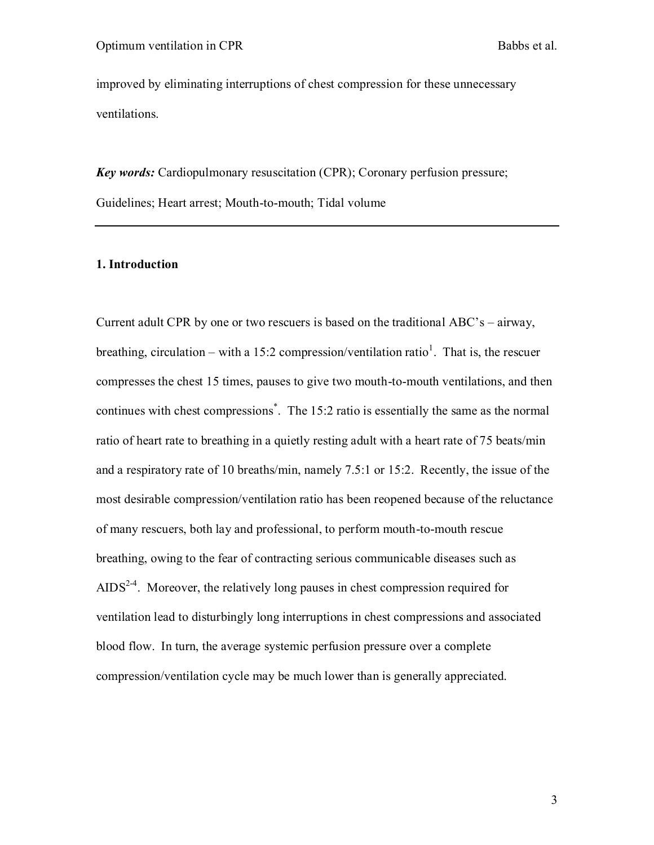improved by eliminating interruptions of chest compression for these unnecessary ventilations.

*Key words:* Cardiopulmonary resuscitation (CPR); Coronary perfusion pressure; Guidelines; Heart arrest; Mouth-to-mouth; Tidal volume

#### **1. Introduction**

Current adult CPR by one or two rescuers is based on the traditional ABC's – airway, breathing, circulation – with a 15:2 compression/ventilation ratio<sup>1</sup>. That is, the rescuer compresses the chest 15 times, pauses to give two mouth-to-mouth ventilations, and then continues with chest compressions\* . The 15:2 ratio is essentially the same as the normal ratio of heart rate to breathing in a quietly resting adult with a heart rate of 75 beats/min and a respiratory rate of 10 breaths/min, namely 7.5:1 or 15:2. Recently, the issue of the most desirable compression/ventilation ratio has been reopened because of the reluctance of many rescuers, both lay and professional, to perform mouth-to-mouth rescue breathing, owing to the fear of contracting serious communicable diseases such as  $AIDS^{2-4}$ . Moreover, the relatively long pauses in chest compression required for ventilation lead to disturbingly long interruptions in chest compressions and associated blood flow. In turn, the average systemic perfusion pressure over a complete compression/ventilation cycle may be much lower than is generally appreciated.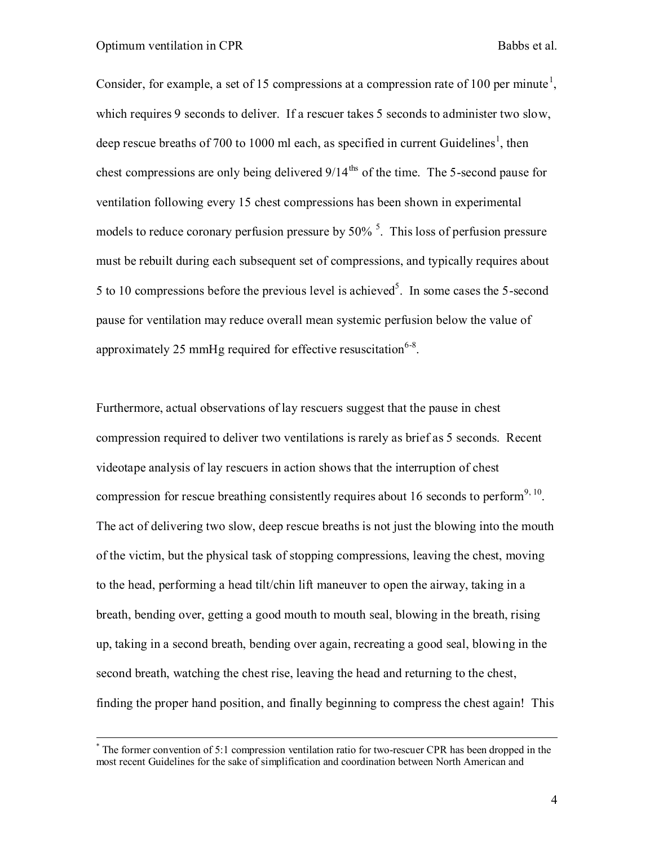Consider, for example, a set of 15 compressions at a compression rate of 100 per minute<sup>1</sup>, which requires 9 seconds to deliver. If a rescuer takes 5 seconds to administer two slow, deep rescue breaths of 700 to 1000 ml each, as specified in current Guidelines<sup>1</sup>, then chest compressions are only being delivered  $9/14$ <sup>ths</sup> of the time. The 5-second pause for ventilation following every 15 chest compressions has been shown in experimental models to reduce coronary perfusion pressure by  $50\%$ <sup>5</sup>. This loss of perfusion pressure must be rebuilt during each subsequent set of compressions, and typically requires about 5 to 10 compressions before the previous level is achieved<sup>5</sup>. In some cases the 5-second pause for ventilation may reduce overall mean systemic perfusion below the value of approximately 25 mmHg required for effective resuscitation  $6-8$ .

Furthermore, actual observations of lay rescuers suggest that the pause in chest compression required to deliver two ventilations is rarely as brief as 5 seconds. Recent videotape analysis of lay rescuers in action shows that the interruption of chest compression for rescue breathing consistently requires about 16 seconds to perform<sup>9, 10</sup>. The act of delivering two slow, deep rescue breaths is not just the blowing into the mouth of the victim, but the physical task of stopping compressions, leaving the chest, moving to the head, performing a head tilt/chin lift maneuver to open the airway, taking in a breath, bending over, getting a good mouth to mouth seal, blowing in the breath, rising up, taking in a second breath, bending over again, recreating a good seal, blowing in the second breath, watching the chest rise, leaving the head and returning to the chest, finding the proper hand position, and finally beginning to compress the chest again! This

 \* The former convention of 5:1 compression ventilation ratio for two-rescuer CPR has been dropped in the most recent Guidelines for the sake of simplification and coordination between North American and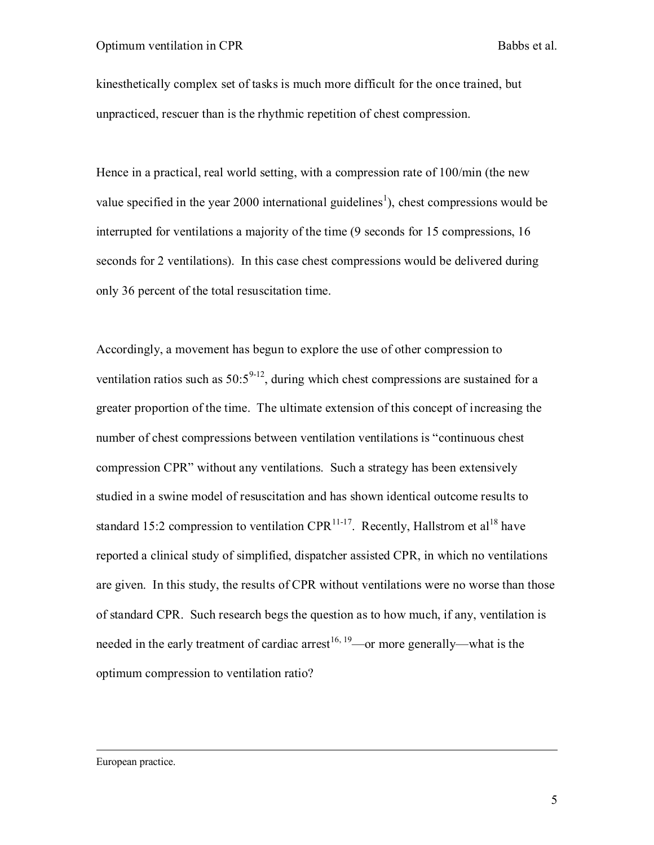kinesthetically complex set of tasks is much more difficult for the once trained, but unpracticed, rescuer than is the rhythmic repetition of chest compression.

Hence in a practical, real world setting, with a compression rate of 100/min (the new value specified in the year 2000 international guidelines<sup>1</sup>), chest compressions would be interrupted for ventilations a majority of the time (9 seconds for 15 compressions, 16 seconds for 2 ventilations). In this case chest compressions would be delivered during only 36 percent of the total resuscitation time.

Accordingly, a movement has begun to explore the use of other compression to ventilation ratios such as  $50:5^{9-12}$ , during which chest compressions are sustained for a greater proportion of the time. The ultimate extension of this concept of increasing the number of chest compressions between ventilation ventilations is "continuous chest compression CPR" without any ventilations. Such a strategy has been extensively studied in a swine model of resuscitation and has shown identical outcome results to standard 15:2 compression to ventilation CPR<sup>11-17</sup>. Recently, Hallstrom et al<sup>18</sup> have reported a clinical study of simplified, dispatcher assisted CPR, in which no ventilations are given. In this study, the results of CPR without ventilations were no worse than those of standard CPR. Such research begs the question as to how much, if any, ventilation is needed in the early treatment of cardiac arrest<sup>16, 19</sup>—or more generally—what is the optimum compression to ventilation ratio?

European practice.

 $\overline{a}$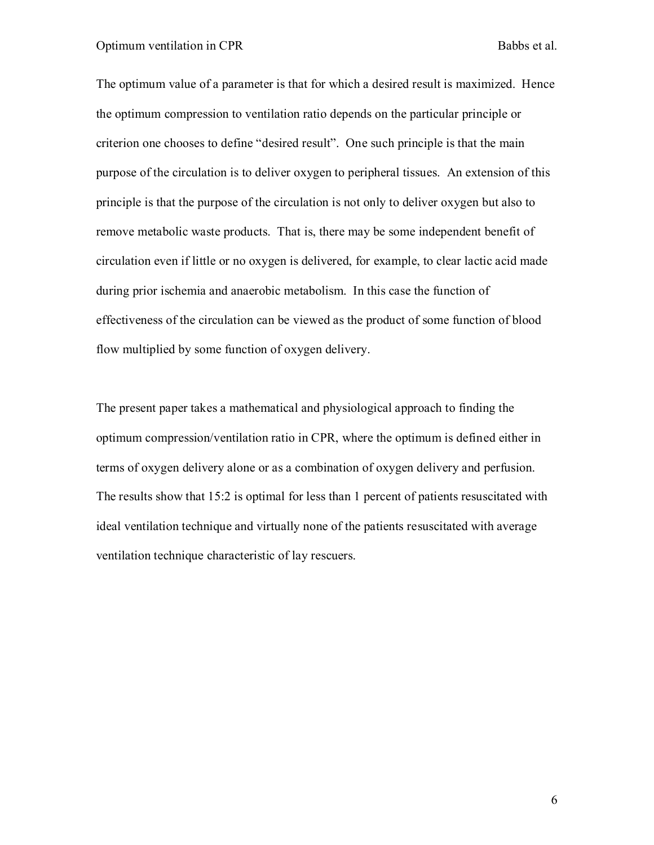The optimum value of a parameter is that for which a desired result is maximized. Hence the optimum compression to ventilation ratio depends on the particular principle or criterion one chooses to define "desired result". One such principle is that the main purpose of the circulation is to deliver oxygen to peripheral tissues. An extension of this principle is that the purpose of the circulation is not only to deliver oxygen but also to remove metabolic waste products. That is, there may be some independent benefit of circulation even if little or no oxygen is delivered, for example, to clear lactic acid made during prior ischemia and anaerobic metabolism. In this case the function of effectiveness of the circulation can be viewed as the product of some function of blood flow multiplied by some function of oxygen delivery.

The present paper takes a mathematical and physiological approach to finding the optimum compression/ventilation ratio in CPR, where the optimum is defined either in terms of oxygen delivery alone or as a combination of oxygen delivery and perfusion. The results show that 15:2 is optimal for less than 1 percent of patients resuscitated with ideal ventilation technique and virtually none of the patients resuscitated with average ventilation technique characteristic of lay rescuers.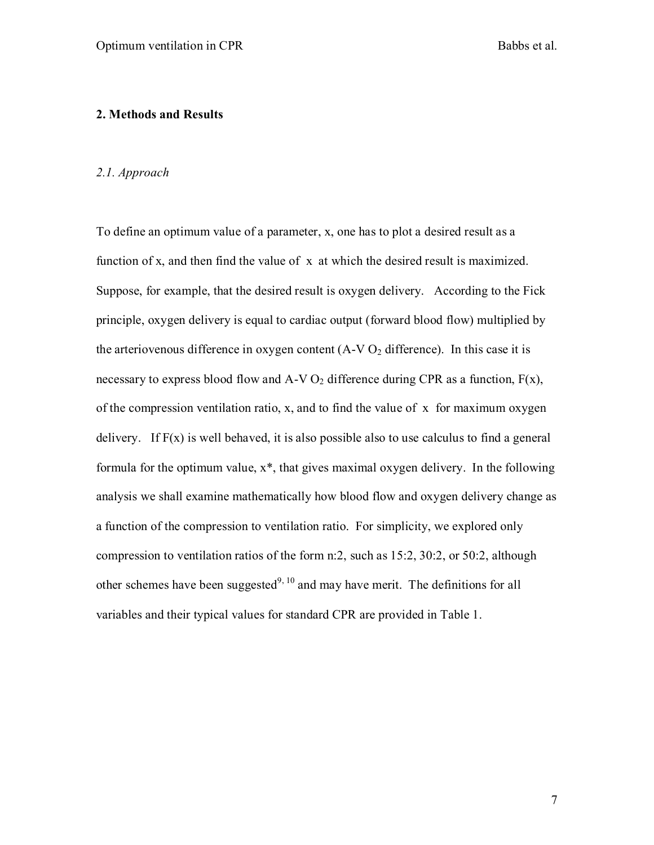#### **2. Methods and Results**

#### *2.1. Approach*

To define an optimum value of a parameter, x, one has to plot a desired result as a function of x, and then find the value of x at which the desired result is maximized. Suppose, for example, that the desired result is oxygen delivery. According to the Fick principle, oxygen delivery is equal to cardiac output (forward blood flow) multiplied by the arteriovenous difference in oxygen content  $(A-V O_2$  difference). In this case it is necessary to express blood flow and  $A-VO_2$  difference during CPR as a function,  $F(x)$ , of the compression ventilation ratio, x, and to find the value of x for maximum oxygen delivery. If  $F(x)$  is well behaved, it is also possible also to use calculus to find a general formula for the optimum value, x\*, that gives maximal oxygen delivery. In the following analysis we shall examine mathematically how blood flow and oxygen delivery change as a function of the compression to ventilation ratio. For simplicity, we explored only compression to ventilation ratios of the form n:2, such as 15:2, 30:2, or 50:2, although other schemes have been suggested<sup>9, 10</sup> and may have merit. The definitions for all variables and their typical values for standard CPR are provided in Table 1.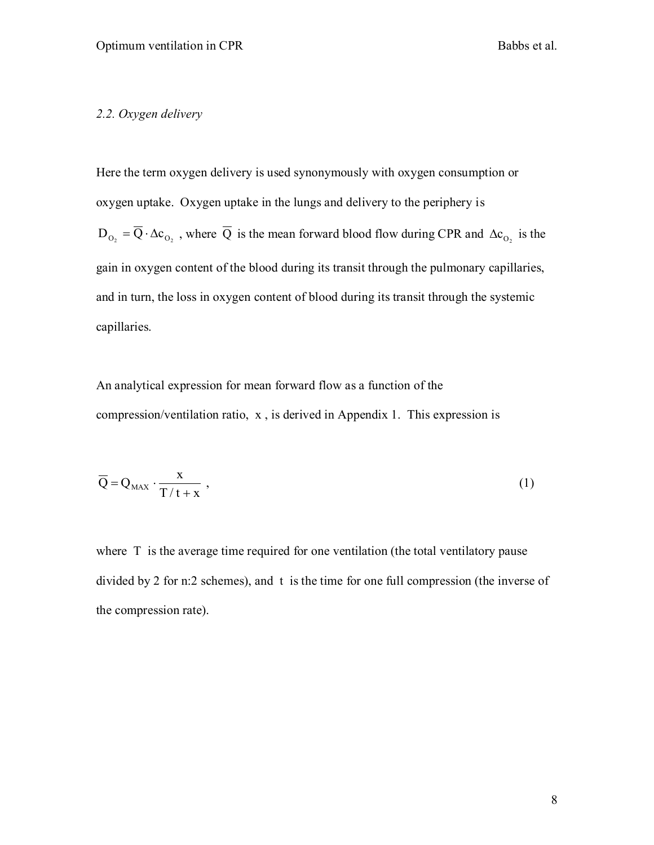#### *2.2. Oxygen delivery*

Here the term oxygen delivery is used synonymously with oxygen consumption or oxygen uptake. Oxygen uptake in the lungs and delivery to the periphery is  $D_{_{O_2}} = \overline{Q} \cdot \Delta c_{_{O_2}}$ , where  $\overline{Q}$  is the mean forward blood flow during CPR and  $\Delta c_{_{O_2}}$  is the gain in oxygen content of the blood during its transit through the pulmonary capillaries, and in turn, the loss in oxygen content of blood during its transit through the systemic capillaries.

An analytical expression for mean forward flow as a function of the compression/ventilation ratio, x , is derived in Appendix 1. This expression is

$$
\overline{Q} = Q_{\text{MAX}} \cdot \frac{x}{T/t + x} \tag{1}
$$

where T is the average time required for one ventilation (the total ventilatory pause divided by 2 for n:2 schemes), and t is the time for one full compression (the inverse of the compression rate).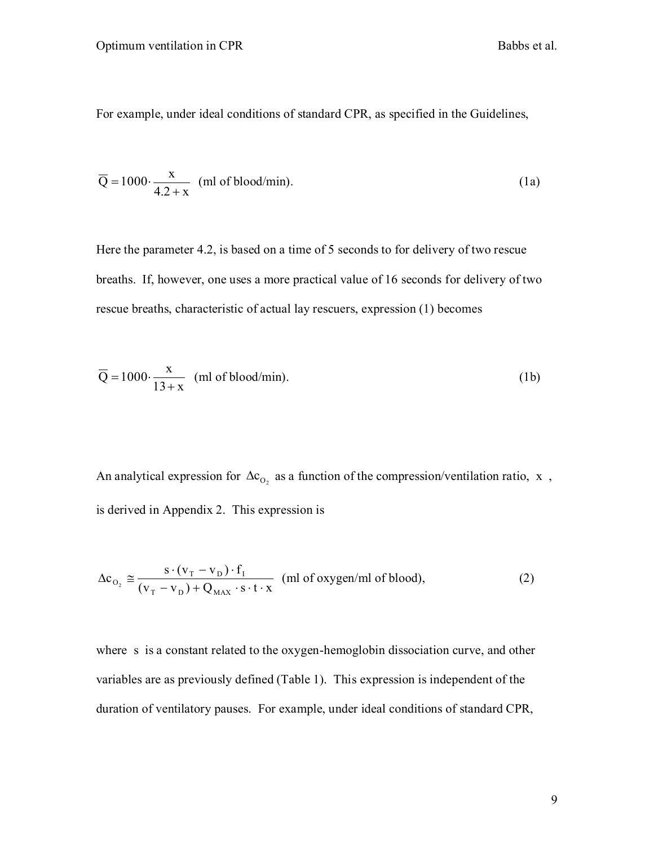For example, under ideal conditions of standard CPR, as specified in the Guidelines,

$$
\overline{Q} = 1000 \cdot \frac{x}{4.2 + x}
$$
 (ml of blood/min). (1a)

Here the parameter 4.2, is based on a time of 5 seconds to for delivery of two rescue breaths. If, however, one uses a more practical value of 16 seconds for delivery of two rescue breaths, characteristic of actual lay rescuers, expression (1) becomes

$$
\overline{Q} = 1000 \cdot \frac{x}{13 + x}
$$
 (ml of blood/min). (1b)

An analytical expression for  $\Delta c_{O_2}$  as a function of the compression/ventilation ratio, x, is derived in Appendix 2. This expression is

$$
\Delta c_{O_2} \approx \frac{s \cdot (v_T - v_D) \cdot f_I}{(v_T - v_D) + Q_{MAX} \cdot s \cdot t \cdot x}
$$
 (ml of oxygen/ml of blood), (2)

where s is a constant related to the oxygen-hemoglobin dissociation curve, and other variables are as previously defined (Table 1). This expression is independent of the duration of ventilatory pauses. For example, under ideal conditions of standard CPR,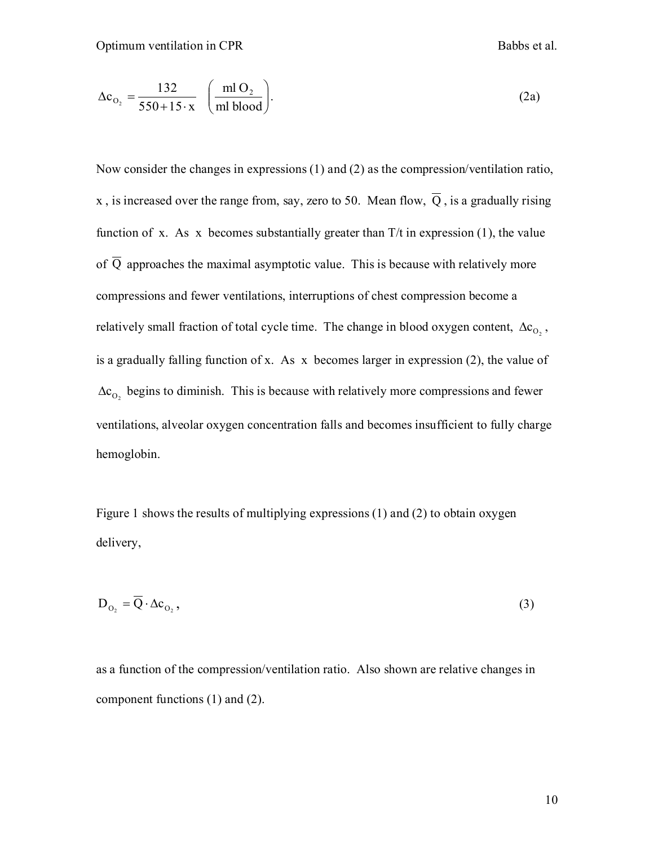$$
\Delta c_{O_2} = \frac{132}{550 + 15 \cdot x} \quad \left(\frac{m! O_2}{m! \text{ blood}}\right). \tag{2a}
$$

(2a)<br>
recssions (1) and (2) as the compression/ventilation ratio,<br>
m, say, zero to 50. Mean flow,  $\overline{Q}$ , is a gradually rising<br>
abstantially greater than T/t in expression (1), the value<br>
symptotic value. This is becau Now consider the changes in expressions (1) and (2) as the compression/ventilation ratio, x , is increased over the range from, say, zero to 50. Mean flow, Q , is a gradually rising function of x. As x becomes substantially greater than  $T/t$  in expression (1), the value of Q approaches the maximal asymptotic value. This is because with relatively more compressions and fewer ventilations, interruptions of chest compression become a relatively small fraction of total cycle time. The change in blood oxygen content,  $\Delta c_{O_2}$ , is a gradually falling function of x. As x becomes larger in expression (2), the value of  $\Delta c_{O_2}$  begins to diminish. This is because with relatively more compressions and fewer ventilations, alveolar oxygen concentration falls and becomes insufficient to fully charge hemoglobin.

Figure 1 shows the results of multiplying expressions (1) and (2) to obtain oxygen delivery,

$$
D_{O_2} = \overline{Q} \cdot \Delta c_{O_2},\tag{3}
$$

as a function of the compression/ventilation ratio. Also shown are relative changes in component functions (1) and (2).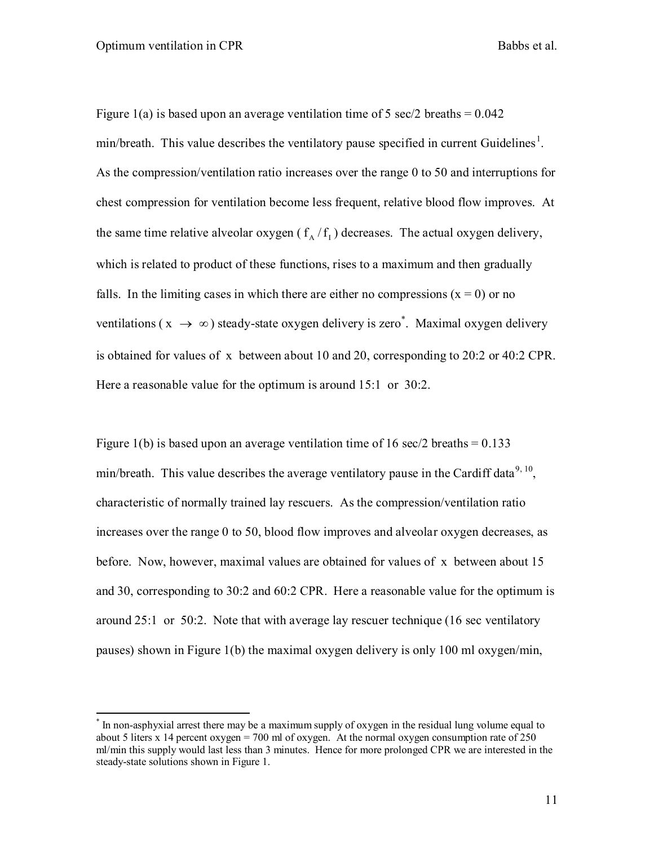Figure 1(a) is based upon an average ventilation time of 5 sec/2 breaths  $= 0.042$  $min/b$  reath. This value describes the ventilatory pause specified in current Guidelines<sup>1</sup>. As the compression/ventilation ratio increases over the range 0 to 50 and interruptions for chest compression for ventilation become less frequent, relative blood flow improves. At the same time relative alveolar oxygen  $(f_A/f_I)$  decreases. The actual oxygen delivery, which is related to product of these functions, rises to a maximum and then gradually falls. In the limiting cases in which there are either no compressions  $(x = 0)$  or no ventilations ( $x \rightarrow \infty$ ) steady-state oxygen delivery is zero\*. Maximal oxygen delivery is obtained for values of x between about 10 and 20, corresponding to 20:2 or 40:2 CPR. Here a reasonable value for the optimum is around 15:1 or 30:2.

Figure 1(b) is based upon an average ventilation time of 16 sec/2 breaths =  $0.133$ min/breath. This value describes the average ventilatory pause in the Cardiff data<sup>9, 10</sup>, characteristic of normally trained lay rescuers. As the compression/ventilation ratio increases over the range 0 to 50, blood flow improves and alveolar oxygen decreases, as before. Now, however, maximal values are obtained for values of x between about 15 and 30, corresponding to 30:2 and 60:2 CPR. Here a reasonable value for the optimum is around 25:1 or 50:2. Note that with average lay rescuer technique (16 sec ventilatory pauses) shown in Figure 1(b) the maximal oxygen delivery is only 100 ml oxygen/min,

 \* In non-asphyxial arrest there may be a maximum supply of oxygen in the residual lung volume equal to about 5 liters x 14 percent oxygen = 700 ml of oxygen. At the normal oxygen consumption rate of 250 ml/min this supply would last less than 3 minutes. Hence for more prolonged CPR we are interested in the steady-state solutions shown in Figure 1.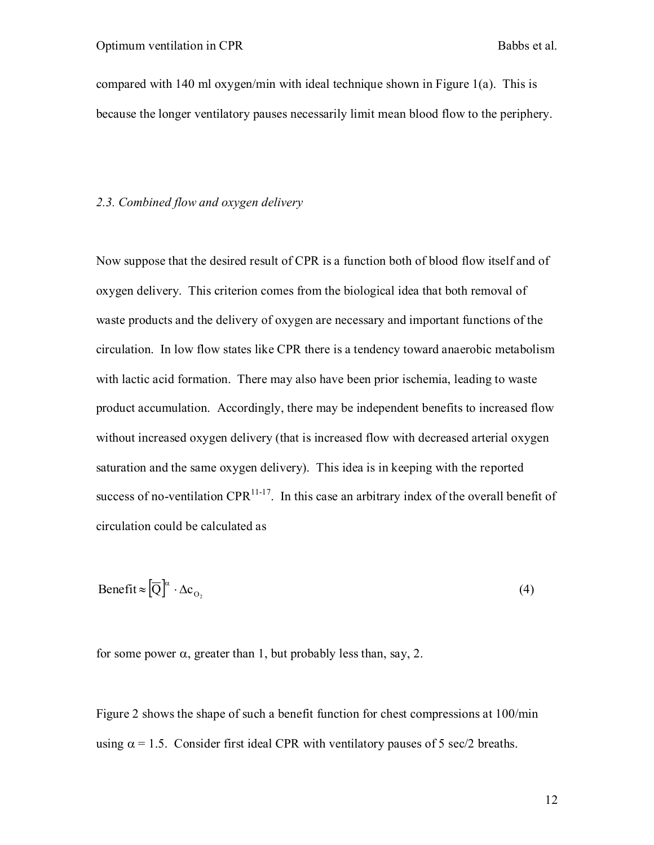compared with 140 ml oxygen/min with ideal technique shown in Figure 1(a). This is because the longer ventilatory pauses necessarily limit mean blood flow to the periphery.

#### *2.3. Combined flow and oxygen delivery*

Now suppose that the desired result of CPR is a function both of blood flow itself and of oxygen delivery. This criterion comes from the biological idea that both removal of waste products and the delivery of oxygen are necessary and important functions of the circulation. In low flow states like CPR there is a tendency toward anaerobic metabolism with lactic acid formation. There may also have been prior ischemia, leading to waste product accumulation. Accordingly, there may be independent benefits to increased flow without increased oxygen delivery (that is increased flow with decreased arterial oxygen saturation and the same oxygen delivery). This idea is in keeping with the reported success of no-ventilation  $CPR<sup>11-17</sup>$ . In this case an arbitrary index of the overall benefit of circulation could be calculated as

$$
\text{Benefit} \approx \left[\overline{Q}\right]^{\alpha} \cdot \Delta c_{O_2} \tag{4}
$$

for some power  $\alpha$ , greater than 1, but probably less than, say, 2.

Figure 2 shows the shape of such a benefit function for chest compressions at 100/min using  $\alpha = 1.5$ . Consider first ideal CPR with ventilatory pauses of 5 sec/2 breaths.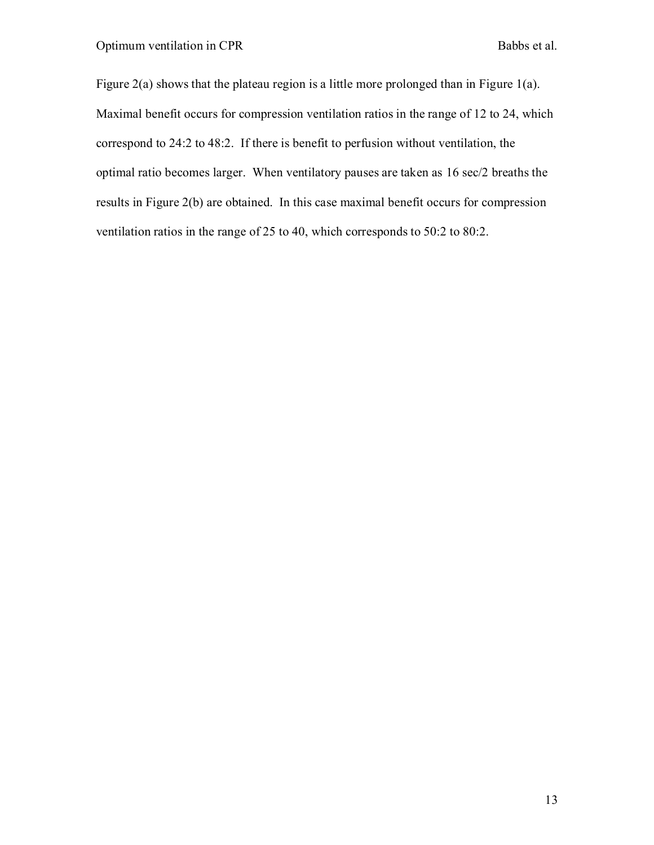Figure 2(a) shows that the plateau region is a little more prolonged than in Figure 1(a). Maximal benefit occurs for compression ventilation ratios in the range of 12 to 24, which correspond to 24:2 to 48:2. If there is benefit to perfusion without ventilation, the optimal ratio becomes larger. When ventilatory pauses are taken as 16 sec/2 breaths the results in Figure 2(b) are obtained. In this case maximal benefit occurs for compression ventilation ratios in the range of 25 to 40, which corresponds to 50:2 to 80:2.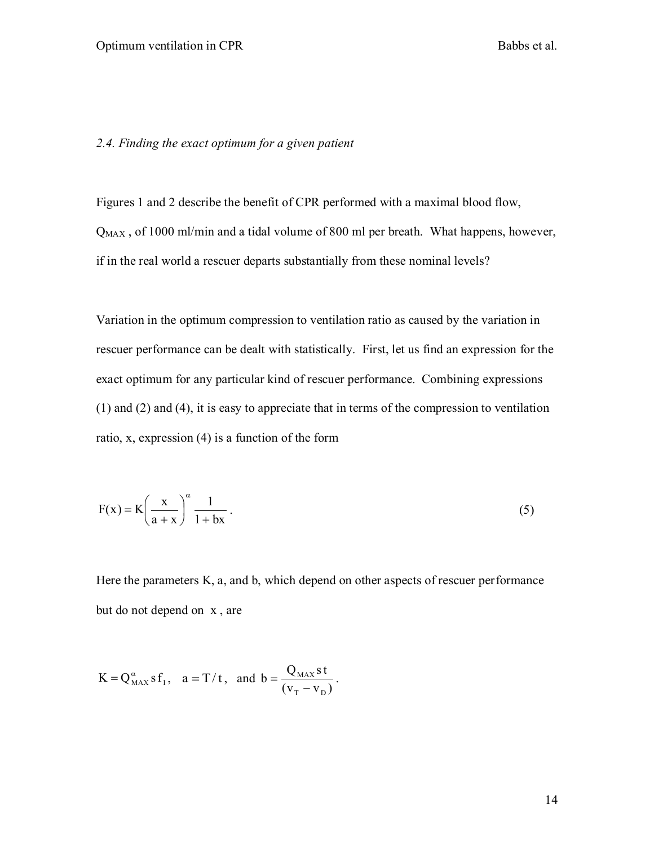#### *2.4. Finding the exact optimum for a given patient*

Figures 1 and 2 describe the benefit of CPR performed with a maximal blood flow,  $Q_{MAX}$ , of 1000 ml/min and a tidal volume of 800 ml per breath. What happens, however, if in the real world a rescuer departs substantially from these nominal levels?

Variation in the optimum compression to ventilation ratio as caused by the variation in rescuer performance can be dealt with statistically. First, let us find an expression for the exact optimum for any particular kind of rescuer performance. Combining expressions (1) and (2) and (4), it is easy to appreciate that in terms of the compression to ventilation ratio, x, expression (4) is a function of the form

$$
F(x) = K \left(\frac{x}{a+x}\right)^{\alpha} \frac{1}{1+bx} \,. \tag{5}
$$

Here the parameters K, a, and b, which depend on other aspects of rescuer performance but do not depend on x , are

$$
K = Q_{\text{MAX}}^{\alpha} s f_1, \quad a = T/t, \text{ and } b = \frac{Q_{\text{MAX}} s t}{(v_T - v_D)}.
$$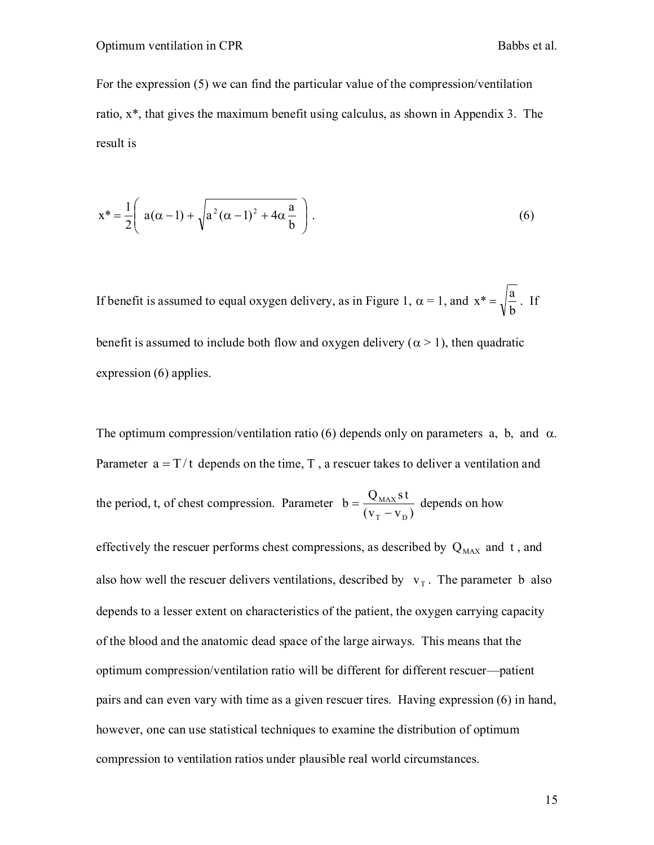For the expression (5) we can find the particular value of the compression/ventilation ratio, x\*, that gives the maximum benefit using calculus, as shown in Appendix 3. The result is

$$
x^* = \frac{1}{2} \left( a(\alpha - 1) + \sqrt{a^2(\alpha - 1)^2 + 4\alpha \frac{a}{b}} \right).
$$
 (6)

If benefit is assumed to equal oxygen delivery, as in Figure 1,  $\alpha = 1$ , and b  $x^* = \sqrt{\frac{a}{1}}$ . If benefit is assumed to include both flow and oxygen delivery ( $\alpha$  > 1), then quadratic expression (6) applies.

The optimum compression/ventilation ratio (6) depends only on parameters a, b, and  $\alpha$ . Parameter  $a = T/t$  depends on the time, T, a rescuer takes to deliver a ventilation and the period, t, of chest compression. Parameter  $(v_T - v_D)$  $b = \frac{Q_{MAX} s t}{4}$ T <sup>v</sup> D MAX  $\overline{a}$  $=\frac{\sqrt{NAX^3}}{2}$  depends on how

effectively the rescuer performs chest compressions, as described by  $Q_{MAX}$  and t, and also how well the rescuer delivers ventilations, described by  $v<sub>T</sub>$ . The parameter b also depends to a lesser extent on characteristics of the patient, the oxygen carrying capacity of the blood and the anatomic dead space of the large airways. This means that the optimum compression/ventilation ratio will be different for different rescuer—patient pairs and can even vary with time as a given rescuer tires. Having expression (6) in hand, however, one can use statistical techniques to examine the distribution of optimum compression to ventilation ratios under plausible real world circumstances.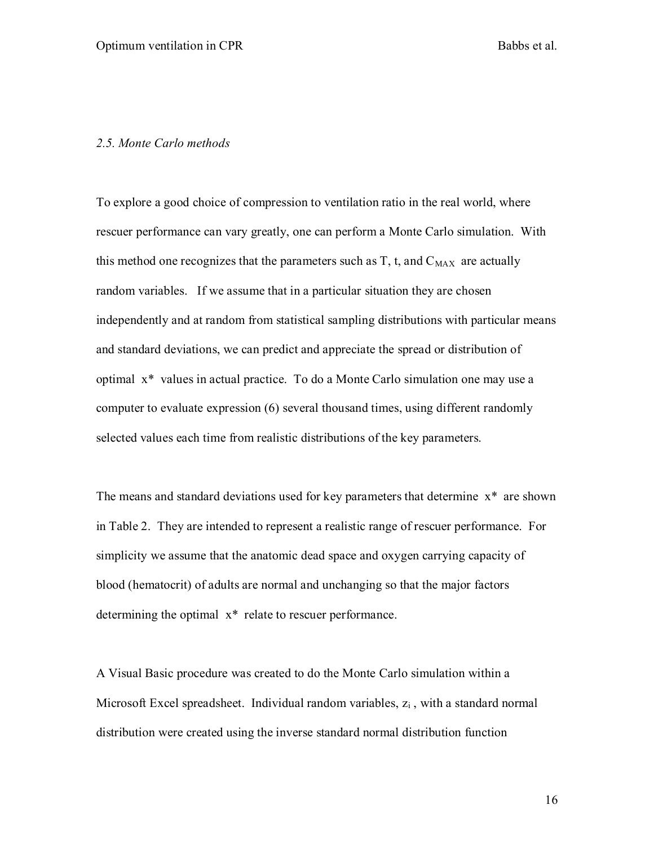#### *2.5. Monte Carlo methods*

To explore a good choice of compression to ventilation ratio in the real world, where rescuer performance can vary greatly, one can perform a Monte Carlo simulation. With this method one recognizes that the parameters such as  $T$ , t, and  $C_{MAX}$  are actually random variables. If we assume that in a particular situation they are chosen independently and at random from statistical sampling distributions with particular means and standard deviations, we can predict and appreciate the spread or distribution of optimal x\* values in actual practice. To do a Monte Carlo simulation one may use a computer to evaluate expression (6) several thousand times, using different randomly selected values each time from realistic distributions of the key parameters.

The means and standard deviations used for key parameters that determine  $x^*$  are shown in Table 2. They are intended to represent a realistic range of rescuer performance. For simplicity we assume that the anatomic dead space and oxygen carrying capacity of blood (hematocrit) of adults are normal and unchanging so that the major factors determining the optimal x\* relate to rescuer performance.

A Visual Basic procedure was created to do the Monte Carlo simulation within a Microsoft Excel spreadsheet. Individual random variables,  $z_i$ , with a standard normal distribution were created using the inverse standard normal distribution function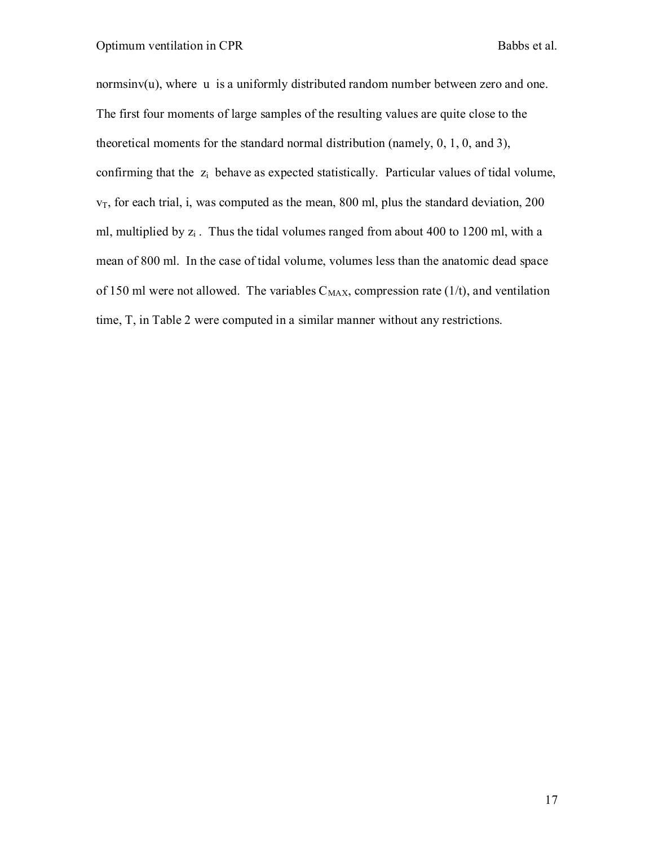normsinv(u), where u is a uniformly distributed random number between zero and one. The first four moments of large samples of the resulting values are quite close to the theoretical moments for the standard normal distribution (namely, 0, 1, 0, and 3), confirming that the  $z_i$  behave as expected statistically. Particular values of tidal volume,  $v<sub>T</sub>$ , for each trial, i, was computed as the mean, 800 ml, plus the standard deviation, 200 ml, multiplied by  $z_i$ . Thus the tidal volumes ranged from about 400 to 1200 ml, with a mean of 800 ml. In the case of tidal volume, volumes less than the anatomic dead space of 150 ml were not allowed. The variables  $C_{MAX}$ , compression rate (1/t), and ventilation time, T, in Table 2 were computed in a similar manner without any restrictions.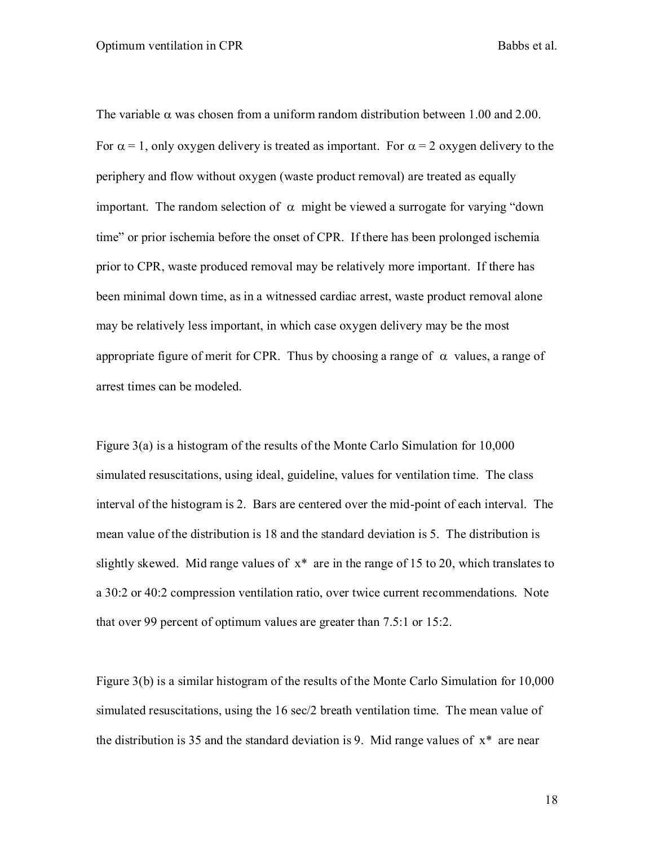The variable  $\alpha$  was chosen from a uniform random distribution between 1.00 and 2.00. For  $\alpha = 1$ , only oxygen delivery is treated as important. For  $\alpha = 2$  oxygen delivery to the periphery and flow without oxygen (waste product removal) are treated as equally important. The random selection of  $\alpha$  might be viewed a surrogate for varying "down" time" or prior ischemia before the onset of CPR. If there has been prolonged ischemia prior to CPR, waste produced removal may be relatively more important. If there has been minimal down time, as in a witnessed cardiac arrest, waste product removal alone may be relatively less important, in which case oxygen delivery may be the most appropriate figure of merit for CPR. Thus by choosing a range of  $\alpha$  values, a range of arrest times can be modeled.

Figure 3(a) is a histogram of the results of the Monte Carlo Simulation for 10,000 simulated resuscitations, using ideal, guideline, values for ventilation time. The class interval of the histogram is 2. Bars are centered over the mid-point of each interval. The mean value of the distribution is 18 and the standard deviation is 5. The distribution is slightly skewed. Mid range values of  $x^*$  are in the range of 15 to 20, which translates to a 30:2 or 40:2 compression ventilation ratio, over twice current recommendations. Note that over 99 percent of optimum values are greater than 7.5:1 or 15:2.

Figure 3(b) is a similar histogram of the results of the Monte Carlo Simulation for 10,000 simulated resuscitations, using the 16 sec/2 breath ventilation time. The mean value of the distribution is 35 and the standard deviation is 9. Mid range values of  $x^*$  are near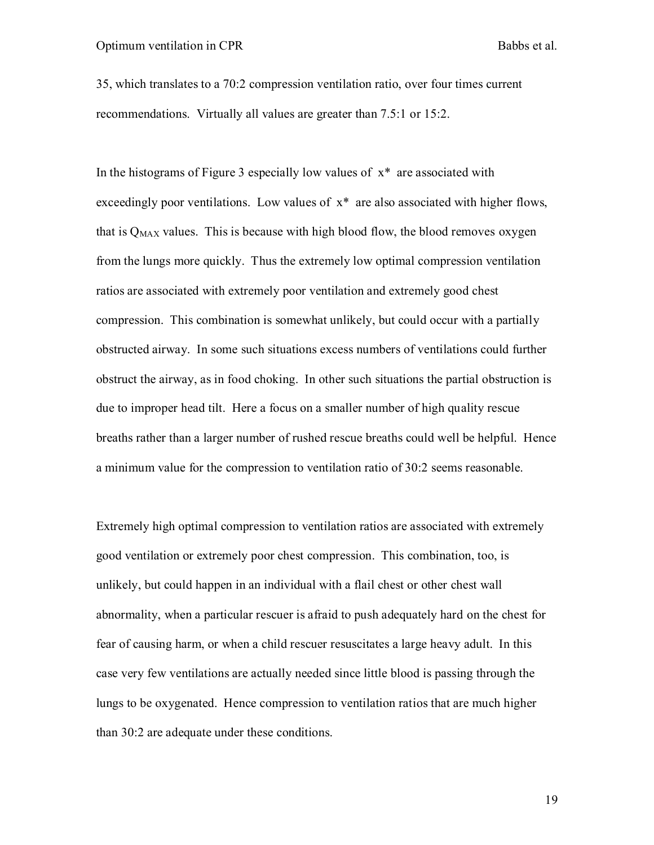35, which translates to a 70:2 compression ventilation ratio, over four times current recommendations. Virtually all values are greater than 7.5:1 or 15:2.

In the histograms of Figure 3 especially low values of  $x^*$  are associated with exceedingly poor ventilations. Low values of  $x^*$  are also associated with higher flows, that is  $Q_{MAX}$  values. This is because with high blood flow, the blood removes oxygen from the lungs more quickly. Thus the extremely low optimal compression ventilation ratios are associated with extremely poor ventilation and extremely good chest compression. This combination is somewhat unlikely, but could occur with a partially obstructed airway. In some such situations excess numbers of ventilations could further obstruct the airway, as in food choking. In other such situations the partial obstruction is due to improper head tilt. Here a focus on a smaller number of high quality rescue breaths rather than a larger number of rushed rescue breaths could well be helpful. Hence a minimum value for the compression to ventilation ratio of 30:2 seems reasonable.

Extremely high optimal compression to ventilation ratios are associated with extremely good ventilation or extremely poor chest compression. This combination, too, is unlikely, but could happen in an individual with a flail chest or other chest wall abnormality, when a particular rescuer is afraid to push adequately hard on the chest for fear of causing harm, or when a child rescuer resuscitates a large heavy adult. In this case very few ventilations are actually needed since little blood is passing through the lungs to be oxygenated. Hence compression to ventilation ratios that are much higher than 30:2 are adequate under these conditions.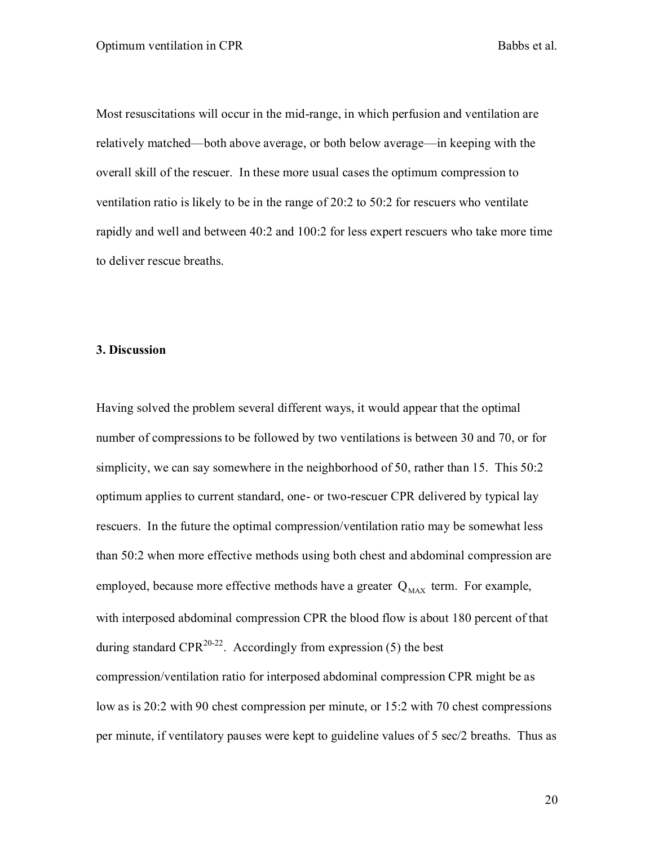Most resuscitations will occur in the mid-range, in which perfusion and ventilation are relatively matched—both above average, or both below average—in keeping with the overall skill of the rescuer. In these more usual cases the optimum compression to ventilation ratio is likely to be in the range of 20:2 to 50:2 for rescuers who ventilate rapidly and well and between 40:2 and 100:2 for less expert rescuers who take more time to deliver rescue breaths.

#### **3. Discussion**

Having solved the problem several different ways, it would appear that the optimal number of compressions to be followed by two ventilations is between 30 and 70, or for simplicity, we can say somewhere in the neighborhood of 50, rather than 15. This 50:2 optimum applies to current standard, one- or two-rescuer CPR delivered by typical lay rescuers. In the future the optimal compression/ventilation ratio may be somewhat less than 50:2 when more effective methods using both chest and abdominal compression are employed, because more effective methods have a greater  $Q_{MAX}$  term. For example, with interposed abdominal compression CPR the blood flow is about 180 percent of that during standard CPR<sup>20-22</sup>. Accordingly from expression (5) the best compression/ventilation ratio for interposed abdominal compression CPR might be as low as is 20:2 with 90 chest compression per minute, or 15:2 with 70 chest compressions per minute, if ventilatory pauses were kept to guideline values of 5 sec/2 breaths. Thus as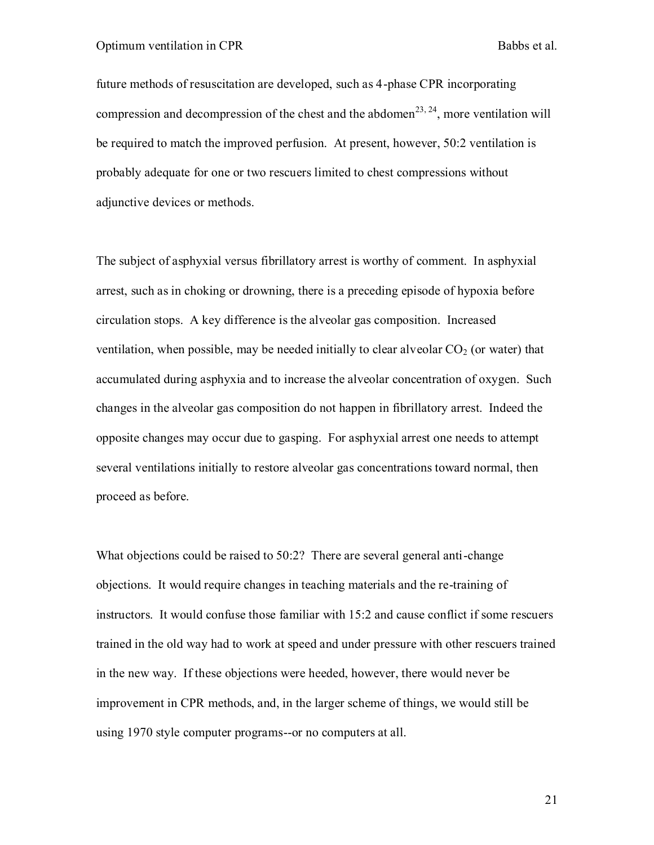future methods of resuscitation are developed, such as 4-phase CPR incorporating compression and decompression of the chest and the abdomen<sup>23, 24</sup>, more ventilation will be required to match the improved perfusion. At present, however, 50:2 ventilation is probably adequate for one or two rescuers limited to chest compressions without adjunctive devices or methods.

The subject of asphyxial versus fibrillatory arrest is worthy of comment. In asphyxial arrest, such as in choking or drowning, there is a preceding episode of hypoxia before circulation stops. A key difference is the alveolar gas composition. Increased ventilation, when possible, may be needed initially to clear alveolar  $CO<sub>2</sub>$  (or water) that accumulated during asphyxia and to increase the alveolar concentration of oxygen. Such changes in the alveolar gas composition do not happen in fibrillatory arrest. Indeed the opposite changes may occur due to gasping. For asphyxial arrest one needs to attempt several ventilations initially to restore alveolar gas concentrations toward normal, then proceed as before.

What objections could be raised to 50:2? There are several general anti-change objections. It would require changes in teaching materials and the re-training of instructors. It would confuse those familiar with 15:2 and cause conflict if some rescuers trained in the old way had to work at speed and under pressure with other rescuers trained in the new way. If these objections were heeded, however, there would never be improvement in CPR methods, and, in the larger scheme of things, we would still be using 1970 style computer programs--or no computers at all.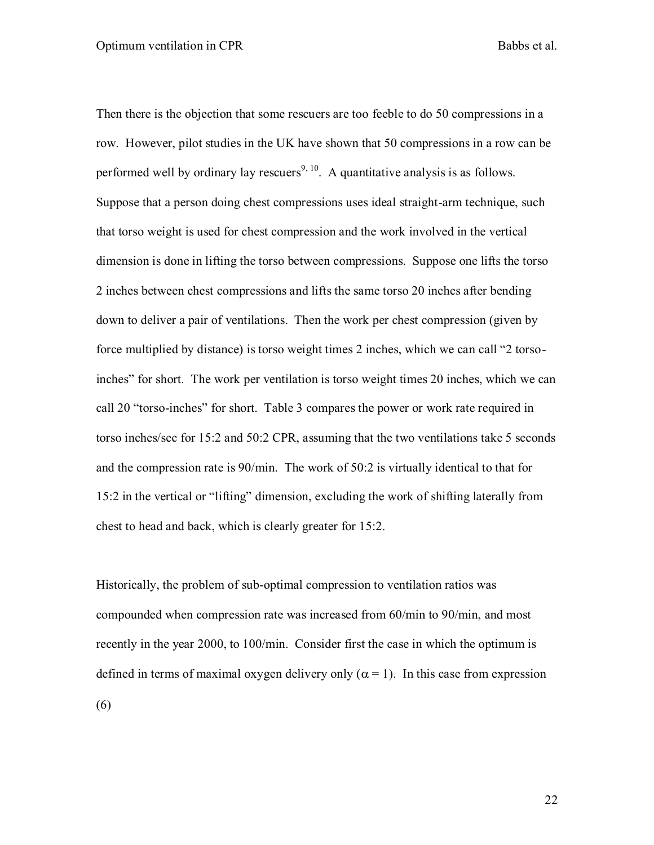Then there is the objection that some rescuers are too feeble to do 50 compressions in a row. However, pilot studies in the UK have shown that 50 compressions in a row can be performed well by ordinary lay rescuers<sup>9, 10</sup>. A quantitative analysis is as follows. Suppose that a person doing chest compressions uses ideal straight-arm technique, such that torso weight is used for chest compression and the work involved in the vertical dimension is done in lifting the torso between compressions. Suppose one lifts the torso 2 inches between chest compressions and lifts the same torso 20 inches after bending down to deliver a pair of ventilations. Then the work per chest compression (given by force multiplied by distance) is torso weight times 2 inches, which we can call "2 torsoinches" for short. The work per ventilation is torso weight times 20 inches, which we can call 20 "torso-inches" for short. Table 3 compares the power or work rate required in torso inches/sec for 15:2 and 50:2 CPR, assuming that the two ventilations take 5 seconds and the compression rate is 90/min. The work of 50:2 is virtually identical to that for 15:2 in the vertical or "lifting" dimension, excluding the work of shifting laterally from chest to head and back, which is clearly greater for 15:2.

Historically, the problem of sub-optimal compression to ventilation ratios was compounded when compression rate was increased from 60/min to 90/min, and most recently in the year 2000, to 100/min. Consider first the case in which the optimum is defined in terms of maximal oxygen delivery only ( $\alpha$  = 1). In this case from expression (6)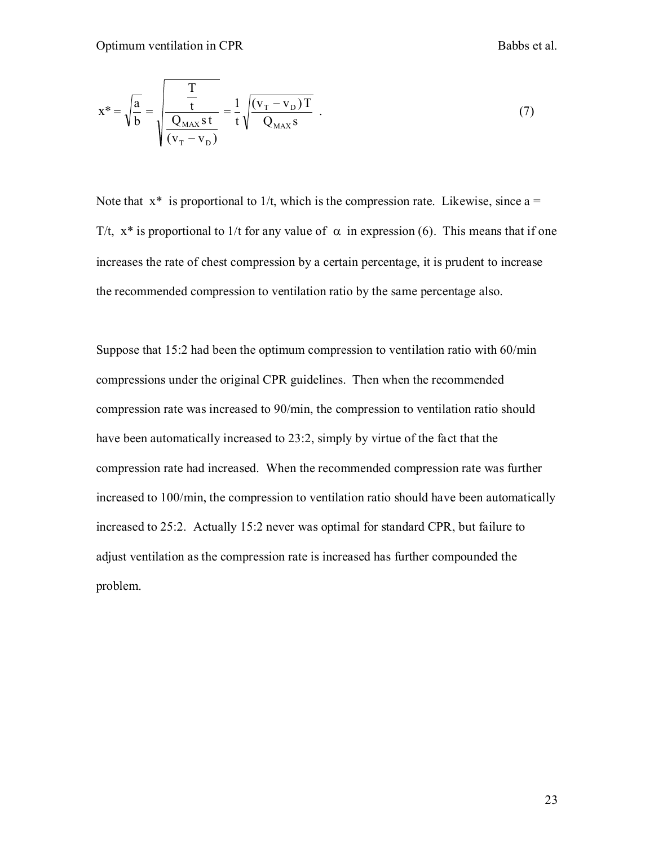$$
x^* = \sqrt{\frac{a}{b}} = \sqrt{\frac{\frac{T}{t}}{\frac{Q_{MAX}st}{(v_T - v_D)}}} = \frac{1}{t} \sqrt{\frac{(v_T - v_D)T}{Q_{MAX}s}}
$$
(7)

Note that  $x^*$  is proportional to 1/t, which is the compression rate. Likewise, since a = T/t,  $x^*$  is proportional to 1/t for any value of  $\alpha$  in expression (6). This means that if one increases the rate of chest compression by a certain percentage, it is prudent to increase the recommended compression to ventilation ratio by the same percentage also.

Suppose that 15:2 had been the optimum compression to ventilation ratio with 60/min compressions under the original CPR guidelines. Then when the recommended compression rate was increased to 90/min, the compression to ventilation ratio should have been automatically increased to 23:2, simply by virtue of the fact that the compression rate had increased. When the recommended compression rate was further increased to 100/min, the compression to ventilation ratio should have been automatically increased to 25:2. Actually 15:2 never was optimal for standard CPR, but failure to adjust ventilation as the compression rate is increased has further compounded the problem.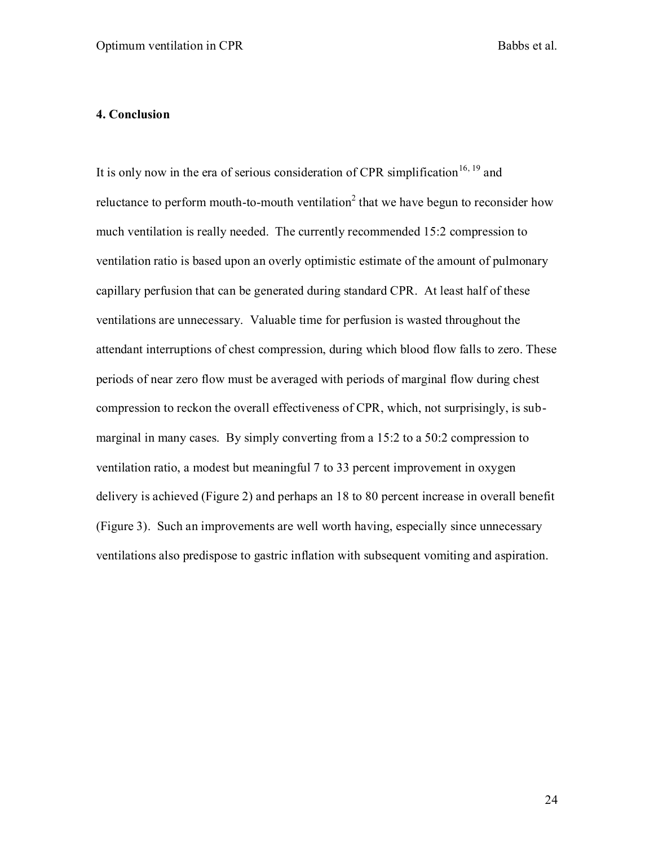#### **4. Conclusion**

It is only now in the era of serious consideration of CPR simplification<sup>16, 19</sup> and reluctance to perform mouth-to-mouth ventilation<sup>2</sup> that we have begun to reconsider how much ventilation is really needed. The currently recommended 15:2 compression to ventilation ratio is based upon an overly optimistic estimate of the amount of pulmonary capillary perfusion that can be generated during standard CPR. At least half of these ventilations are unnecessary. Valuable time for perfusion is wasted throughout the attendant interruptions of chest compression, during which blood flow falls to zero. These periods of near zero flow must be averaged with periods of marginal flow during chest compression to reckon the overall effectiveness of CPR, which, not surprisingly, is submarginal in many cases. By simply converting from a 15:2 to a 50:2 compression to ventilation ratio, a modest but meaningful 7 to 33 percent improvement in oxygen delivery is achieved (Figure 2) and perhaps an 18 to 80 percent increase in overall benefit (Figure 3). Such an improvements are well worth having, especially since unnecessary ventilations also predispose to gastric inflation with subsequent vomiting and aspiration.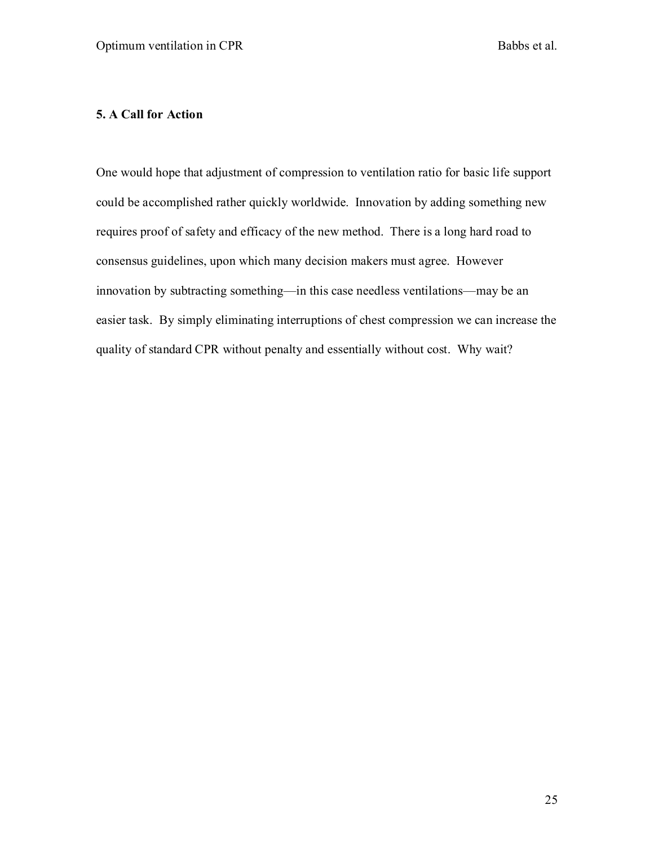### **5. A Call for Action**

One would hope that adjustment of compression to ventilation ratio for basic life support could be accomplished rather quickly worldwide. Innovation by adding something new requires proof of safety and efficacy of the new method. There is a long hard road to consensus guidelines, upon which many decision makers must agree. However innovation by subtracting something—in this case needless ventilations—may be an easier task. By simply eliminating interruptions of chest compression we can increase the quality of standard CPR without penalty and essentially without cost. Why wait?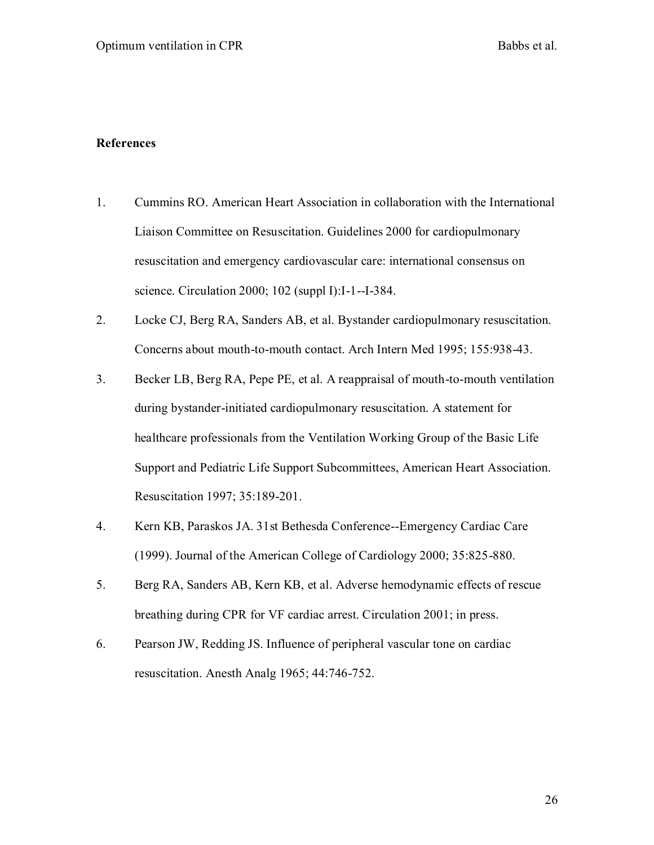#### **References**

- 1. Cummins RO. American Heart Association in collaboration with the International Liaison Committee on Resuscitation. Guidelines 2000 for cardiopulmonary resuscitation and emergency cardiovascular care: international consensus on science. Circulation 2000; 102 (suppl I):I-1--I-384.
- 2. Locke CJ, Berg RA, Sanders AB, et al. Bystander cardiopulmonary resuscitation. Concerns about mouth-to-mouth contact. Arch Intern Med 1995; 155:938-43.
- 3. Becker LB, Berg RA, Pepe PE, et al. A reappraisal of mouth-to-mouth ventilation during bystander-initiated cardiopulmonary resuscitation. A statement for healthcare professionals from the Ventilation Working Group of the Basic Life Support and Pediatric Life Support Subcommittees, American Heart Association. Resuscitation 1997; 35:189-201.
- 4. Kern KB, Paraskos JA. 31st Bethesda Conference--Emergency Cardiac Care (1999). Journal of the American College of Cardiology 2000; 35:825-880.
- 5. Berg RA, Sanders AB, Kern KB, et al. Adverse hemodynamic effects of rescue breathing during CPR for VF cardiac arrest. Circulation 2001; in press.
- 6. Pearson JW, Redding JS. Influence of peripheral vascular tone on cardiac resuscitation. Anesth Analg 1965; 44:746-752.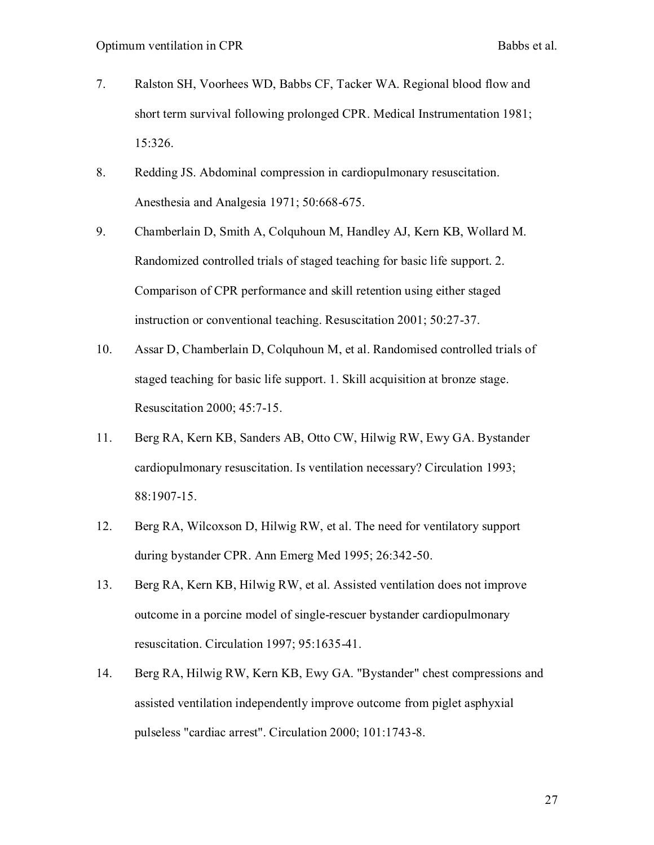- 7. Ralston SH, Voorhees WD, Babbs CF, Tacker WA. Regional blood flow and short term survival following prolonged CPR. Medical Instrumentation 1981; 15:326.
- 8. Redding JS. Abdominal compression in cardiopulmonary resuscitation. Anesthesia and Analgesia 1971; 50:668-675.
- 9. Chamberlain D, Smith A, Colquhoun M, Handley AJ, Kern KB, Wollard M. Randomized controlled trials of staged teaching for basic life support. 2. Comparison of CPR performance and skill retention using either staged instruction or conventional teaching. Resuscitation 2001; 50:27-37.
- 10. Assar D, Chamberlain D, Colquhoun M, et al. Randomised controlled trials of staged teaching for basic life support. 1. Skill acquisition at bronze stage. Resuscitation 2000; 45:7-15.
- 11. Berg RA, Kern KB, Sanders AB, Otto CW, Hilwig RW, Ewy GA. Bystander cardiopulmonary resuscitation. Is ventilation necessary? Circulation 1993; 88:1907-15.
- 12. Berg RA, Wilcoxson D, Hilwig RW, et al. The need for ventilatory support during bystander CPR. Ann Emerg Med 1995; 26:342-50.
- 13. Berg RA, Kern KB, Hilwig RW, et al. Assisted ventilation does not improve outcome in a porcine model of single-rescuer bystander cardiopulmonary resuscitation. Circulation 1997; 95:1635-41.
- 14. Berg RA, Hilwig RW, Kern KB, Ewy GA. "Bystander" chest compressions and assisted ventilation independently improve outcome from piglet asphyxial pulseless "cardiac arrest". Circulation 2000; 101:1743-8.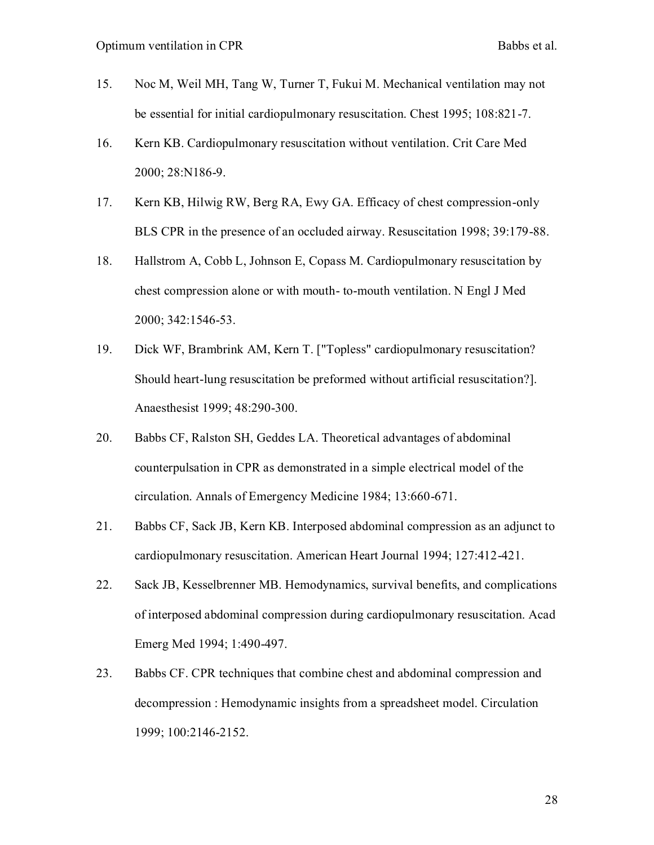- 15. Noc M, Weil MH, Tang W, Turner T, Fukui M. Mechanical ventilation may not be essential for initial cardiopulmonary resuscitation. Chest 1995; 108:821-7.
- 16. Kern KB. Cardiopulmonary resuscitation without ventilation. Crit Care Med 2000; 28:N186-9.
- 17. Kern KB, Hilwig RW, Berg RA, Ewy GA. Efficacy of chest compression-only BLS CPR in the presence of an occluded airway. Resuscitation 1998; 39:179-88.
- 18. Hallstrom A, Cobb L, Johnson E, Copass M. Cardiopulmonary resuscitation by chest compression alone or with mouth- to-mouth ventilation. N Engl J Med 2000; 342:1546-53.
- 19. Dick WF, Brambrink AM, Kern T. ["Topless" cardiopulmonary resuscitation? Should heart-lung resuscitation be preformed without artificial resuscitation?]. Anaesthesist 1999; 48:290-300.
- 20. Babbs CF, Ralston SH, Geddes LA. Theoretical advantages of abdominal counterpulsation in CPR as demonstrated in a simple electrical model of the circulation. Annals of Emergency Medicine 1984; 13:660-671.
- 21. Babbs CF, Sack JB, Kern KB. Interposed abdominal compression as an adjunct to cardiopulmonary resuscitation. American Heart Journal 1994; 127:412-421.
- 22. Sack JB, Kesselbrenner MB. Hemodynamics, survival benefits, and complications of interposed abdominal compression during cardiopulmonary resuscitation. Acad Emerg Med 1994; 1:490-497.
- 23. Babbs CF. CPR techniques that combine chest and abdominal compression and decompression : Hemodynamic insights from a spreadsheet model. Circulation 1999; 100:2146-2152.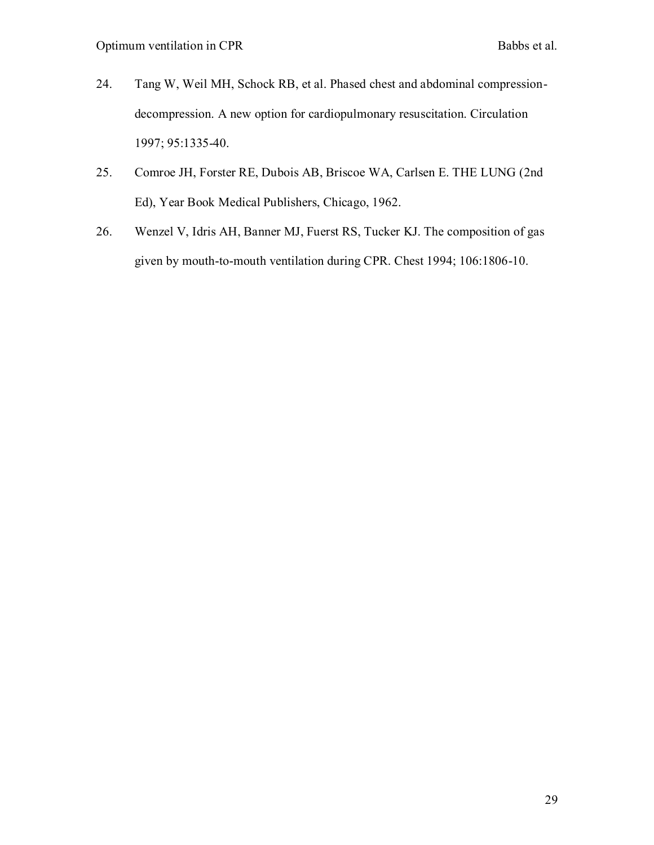- 24. Tang W, Weil MH, Schock RB, et al. Phased chest and abdominal compressiondecompression. A new option for cardiopulmonary resuscitation. Circulation 1997; 95:1335-40.
- 25. Comroe JH, Forster RE, Dubois AB, Briscoe WA, Carlsen E. THE LUNG (2nd Ed), Year Book Medical Publishers, Chicago, 1962.
- 26. Wenzel V, Idris AH, Banner MJ, Fuerst RS, Tucker KJ. The composition of gas given by mouth-to-mouth ventilation during CPR. Chest 1994; 106:1806-10.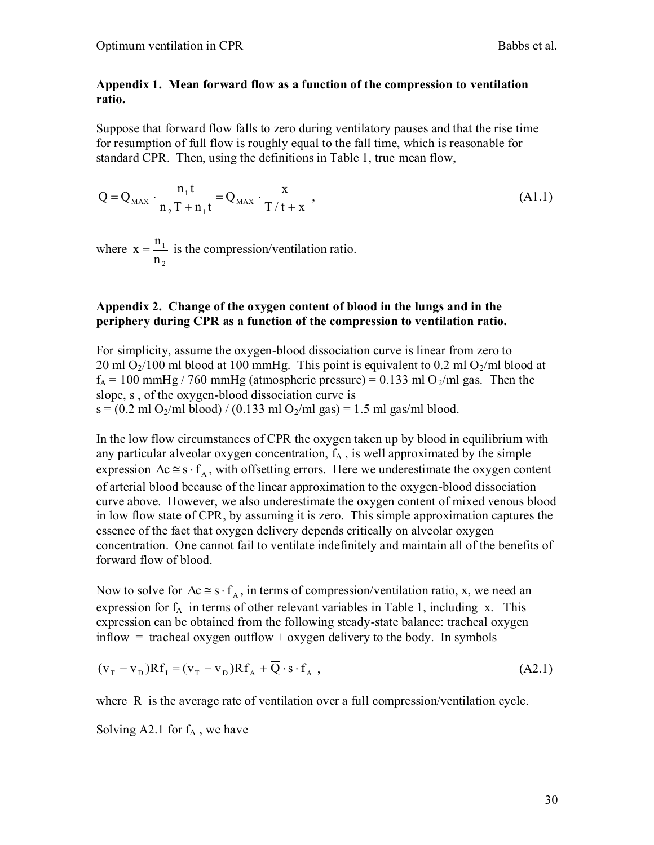#### **Appendix 1. Mean forward flow as a function of the compression to ventilation ratio.**

Suppose that forward flow falls to zero during ventilatory pauses and that the rise time for resumption of full flow is roughly equal to the fall time, which is reasonable for standard CPR. Then, using the definitions in Table 1, true mean flow,

$$
\overline{Q} = Q_{\text{MAX}} \cdot \frac{n_1 t}{n_2 T + n_1 t} = Q_{\text{MAX}} \cdot \frac{x}{T/t + x} \tag{A1.1}
$$

where 2 1 n  $x = \frac{n_1}{n_1}$  is the compression/ventilation ratio.

#### **Appendix 2. Change of the oxygen content of blood in the lungs and in the periphery during CPR as a function of the compression to ventilation ratio.**

For simplicity, assume the oxygen-blood dissociation curve is linear from zero to 20 ml  $O_2/100$  ml blood at 100 mmHg. This point is equivalent to 0.2 ml  $O_2/ml$  blood at  $f_A = 100$  mmHg / 760 mmHg (atmospheric pressure) = 0.133 ml O<sub>2</sub>/ml gas. Then the slope, s , of the oxygen-blood dissociation curve is  $s = (0.2 \text{ ml } O_2/\text{ml blood}) / (0.133 \text{ ml } O_2/\text{ml gas}) = 1.5 \text{ ml gas/ml blood}.$ 

In the low flow circumstances of CPR the oxygen taken up by blood in equilibrium with any particular alveolar oxygen concentration,  $f_A$ , is well approximated by the simple expression  $\Delta c \approx s \cdot f_A$ , with offsetting errors. Here we underestimate the oxygen content of arterial blood because of the linear approximation to the oxygen-blood dissociation curve above. However, we also underestimate the oxygen content of mixed venous blood in low flow state of CPR, by assuming it is zero. This simple approximation captures the essence of the fact that oxygen delivery depends critically on alveolar oxygen concentration. One cannot fail to ventilate indefinitely and maintain all of the benefits of forward flow of blood.

Now to solve for  $\Delta c \approx s \cdot f_A$ , in terms of compression/ventilation ratio, x, we need an expression for  $f_A$  in terms of other relevant variables in Table 1, including x. This expression can be obtained from the following steady-state balance: tracheal oxygen inflow  $=$  tracheal oxygen outflow  $+$  oxygen delivery to the body. In symbols

$$
(\mathbf{v}_{\mathrm{T}} - \mathbf{v}_{\mathrm{D}})\mathbf{R}\mathbf{f}_{\mathrm{I}} = (\mathbf{v}_{\mathrm{T}} - \mathbf{v}_{\mathrm{D}})\mathbf{R}\mathbf{f}_{\mathrm{A}} + \overline{\mathbf{Q}}\cdot\mathbf{s}\cdot\mathbf{f}_{\mathrm{A}}\,,\tag{A2.1}
$$

where R is the average rate of ventilation over a full compression/ventilation cycle.

Solving A2.1 for  $f_A$ , we have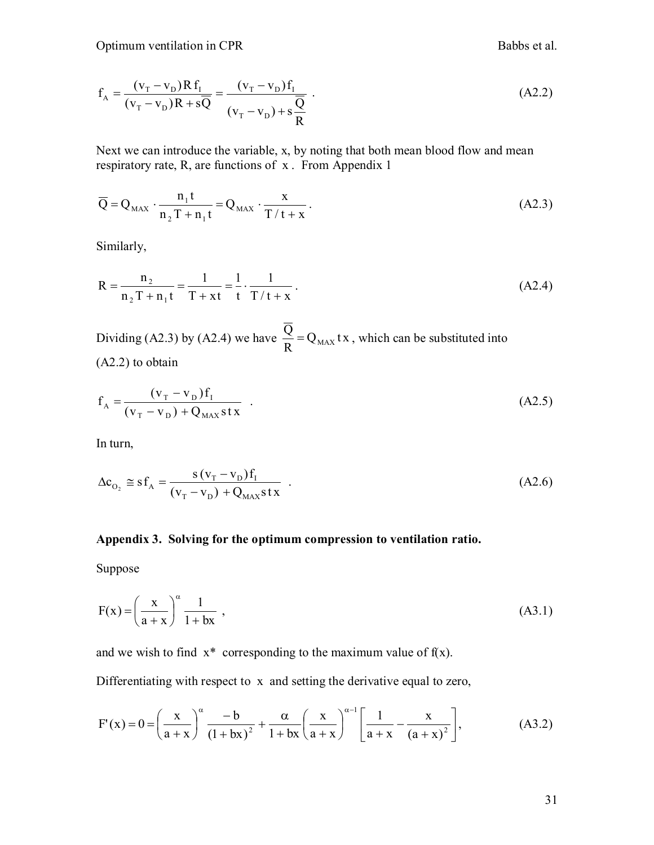$$
f_{A} = \frac{(v_{T} - v_{D})Rf_{I}}{(v_{T} - v_{D})R + s\overline{Q}} = \frac{(v_{T} - v_{D})f_{I}}{(v_{T} - v_{D}) + s\frac{\overline{Q}}{R}}.
$$
 (A2.2)

Next we can introduce the variable, x, by noting that both mean blood flow and mean respiratory rate, R, are functions of x . From Appendix 1

$$
\overline{Q} = Q_{MAX} \cdot \frac{n_1 t}{n_2 T + n_1 t} = Q_{MAX} \cdot \frac{x}{T/t + x} \,. \tag{A2.3}
$$

Similarly,

$$
R = \frac{n_2}{n_2 T + n_1 t} = \frac{1}{T + x t} = \frac{1}{t} \cdot \frac{1}{T/t + x}.
$$
 (A2.4)

Dividing (A2.3) by (A2.4) we have  $\frac{Q}{T} = Q_{MAX}$  tx R  $\frac{Q}{D} = Q_{MAX}$  tx, which can be substituted into (A2.2) to obtain

$$
f_{A} = \frac{(v_{T} - v_{D})f_{I}}{(v_{T} - v_{D}) + Q_{MAX}stx} \tag{A2.5}
$$

In turn,

$$
\Delta c_{O_2} \approx s f_A = \frac{s (v_T - v_D) f_I}{(v_T - v_D) + Q_{MAX} s t x} \tag{A2.6}
$$

#### **Appendix 3. Solving for the optimum compression to ventilation ratio.**

Suppose

$$
F(x) = \left(\frac{x}{a+x}\right)^{\alpha} \frac{1}{1+bx},
$$
\n(A3.1)

and we wish to find  $x^*$  corresponding to the maximum value of  $f(x)$ .

Differentiating with respect to x and setting the derivative equal to zero,

$$
F'(x) = 0 = \left(\frac{x}{a+x}\right)^{\alpha} \frac{-b}{(1+bx)^2} + \frac{\alpha}{1+bx} \left(\frac{x}{a+x}\right)^{\alpha-1} \left[\frac{1}{a+x} - \frac{x}{(a+x)^2}\right],
$$
(A3.2)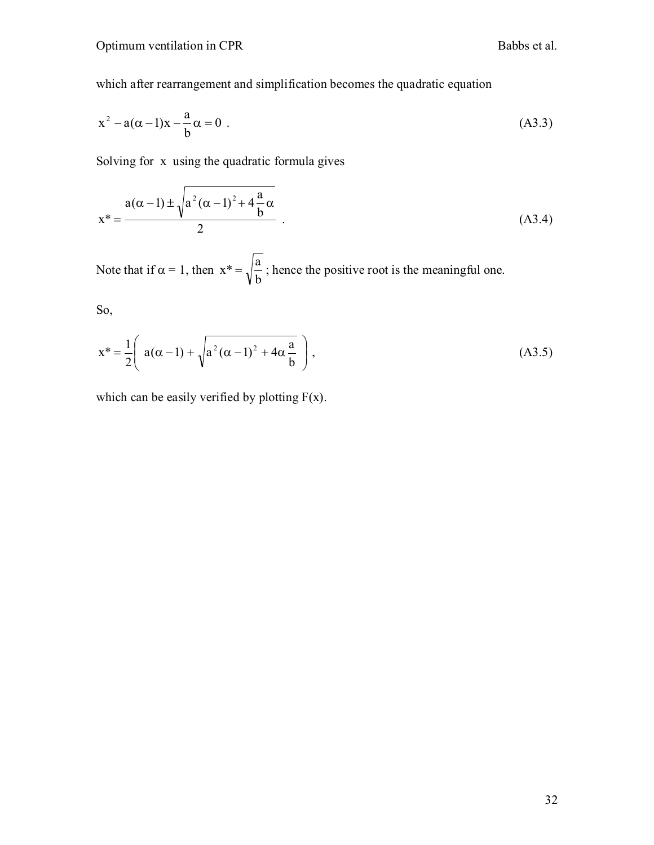which after rearrangement and simplification becomes the quadratic equation

$$
x^{2} - a(\alpha - 1)x - \frac{a}{b}\alpha = 0
$$
 (A3.3)

Solving for x using the quadratic formula gives

$$
x^* = \frac{a(\alpha - 1) \pm \sqrt{a^2 (\alpha - 1)^2 + 4\frac{a}{b}\alpha}}{2}
$$
 (A3.4)

Note that if  $\alpha = 1$ , then b  $x^* = \sqrt{\frac{a}{n}}$ ; hence the positive root is the meaningful one.

So,

$$
x^* = \frac{1}{2} \left( a(\alpha - 1) + \sqrt{a^2(\alpha - 1)^2 + 4\alpha \frac{a}{b}} \right),
$$
 (A3.5)

which can be easily verified by plotting  $F(x)$ .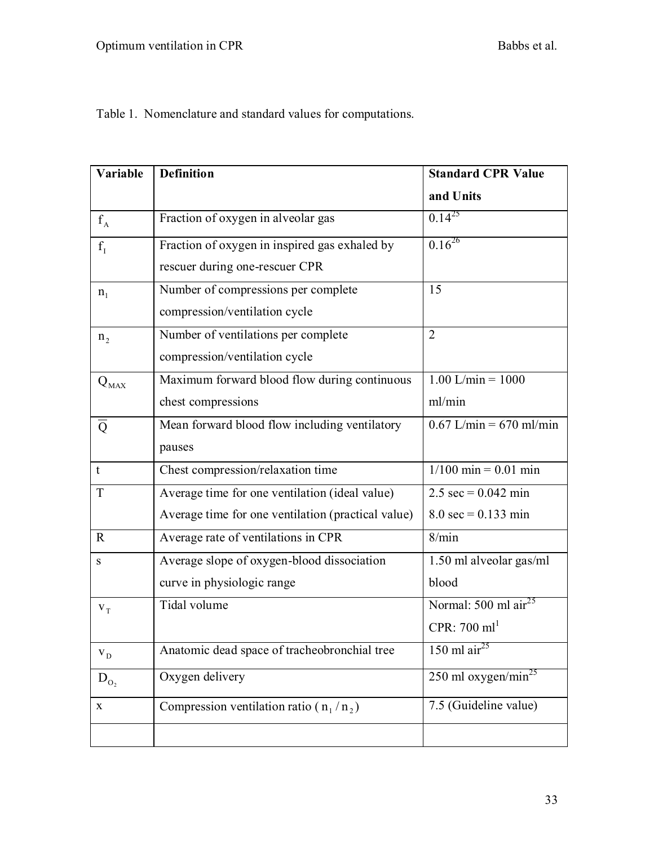| Variable       | <b>Definition</b>                                  | <b>Standard CPR Value</b>             |  |
|----------------|----------------------------------------------------|---------------------------------------|--|
|                |                                                    | and Units                             |  |
| $f_A$          | Fraction of oxygen in alveolar gas                 | $0.14^{25}$                           |  |
| $f_1$          | Fraction of oxygen in inspired gas exhaled by      | $0.16^{26}$                           |  |
|                | rescuer during one-rescuer CPR                     |                                       |  |
| $n_1$          | Number of compressions per complete                | 15                                    |  |
|                | compression/ventilation cycle                      |                                       |  |
| n <sub>2</sub> | Number of ventilations per complete                | $\overline{2}$                        |  |
|                | compression/ventilation cycle                      |                                       |  |
| $Q_{\rm MAX}$  | Maximum forward blood flow during continuous       | $1.00$ L/min = $1000$                 |  |
|                | chest compressions                                 | ml/min                                |  |
| $\overline{Q}$ | Mean forward blood flow including ventilatory      | $0.67$ L/min = 670 ml/min             |  |
|                | pauses                                             |                                       |  |
| t              | Chest compression/relaxation time                  | $1/100$ min = 0.01 min                |  |
| T              | Average time for one ventilation (ideal value)     | $2.5 \text{ sec} = 0.042 \text{ min}$ |  |
|                | Average time for one ventilation (practical value) | $8.0 \text{ sec} = 0.133 \text{ min}$ |  |
| $\mathbf{R}$   | Average rate of ventilations in CPR                | 8/min                                 |  |
| $\mathbf S$    | Average slope of oxygen-blood dissociation         | 1.50 ml alveolar gas/ml               |  |
|                | curve in physiologic range                         | blood                                 |  |
| $V_T$          | Tidal volume                                       | Normal: $500$ ml air <sup>25</sup>    |  |
|                |                                                    | CPR: $700 \text{ ml}^1$               |  |
| $V_D$          | Anatomic dead space of tracheobronchial tree       | 150 ml air <sup>25</sup>              |  |
| $D_{O_2}$      | Oxygen delivery                                    | 250 ml oxygen/min <sup>25</sup>       |  |
| X              | Compression ventilation ratio ( $n_1/n_2$ )        | 7.5 (Guideline value)                 |  |
|                |                                                    |                                       |  |

Table 1. Nomenclature and standard values for computations.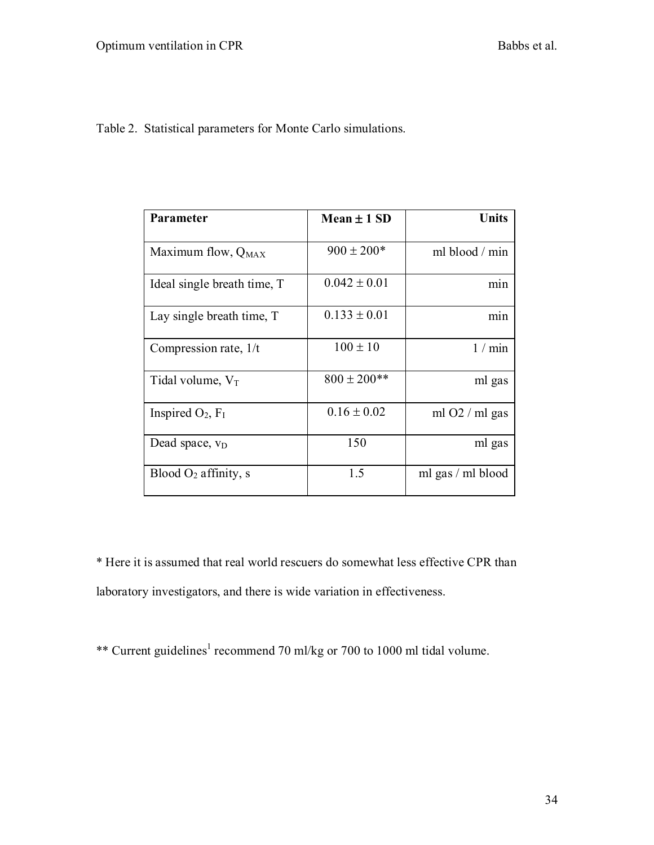Table 2. Statistical parameters for Monte Carlo simulations.

| Parameter                   | Mean $\pm$ 1 SD  | <b>Units</b>            |
|-----------------------------|------------------|-------------------------|
| Maximum flow, $Q_{MAX}$     | $900 \pm 200*$   | ml blood / min          |
| Ideal single breath time, T | $0.042 \pm 0.01$ | min                     |
| Lay single breath time, T   | $0.133 \pm 0.01$ | min                     |
| Compression rate, $1/t$     | $100 \pm 10$     | 1 / min                 |
| Tidal volume, $V_T$         | $800 \pm 200$ ** | ml gas                  |
| Inspired $O_2$ , $F_I$      | $0.16 \pm 0.02$  | ml $O2 / \text{ml gas}$ |
| Dead space, $v_D$           | 150              | ml gas                  |
| Blood $O2$ affinity, s      | 1.5              | ml gas / ml blood       |

\* Here it is assumed that real world rescuers do somewhat less effective CPR than laboratory investigators, and there is wide variation in effectiveness.

\*\* Current guidelines<sup>1</sup> recommend 70 ml/kg or 700 to 1000 ml tidal volume.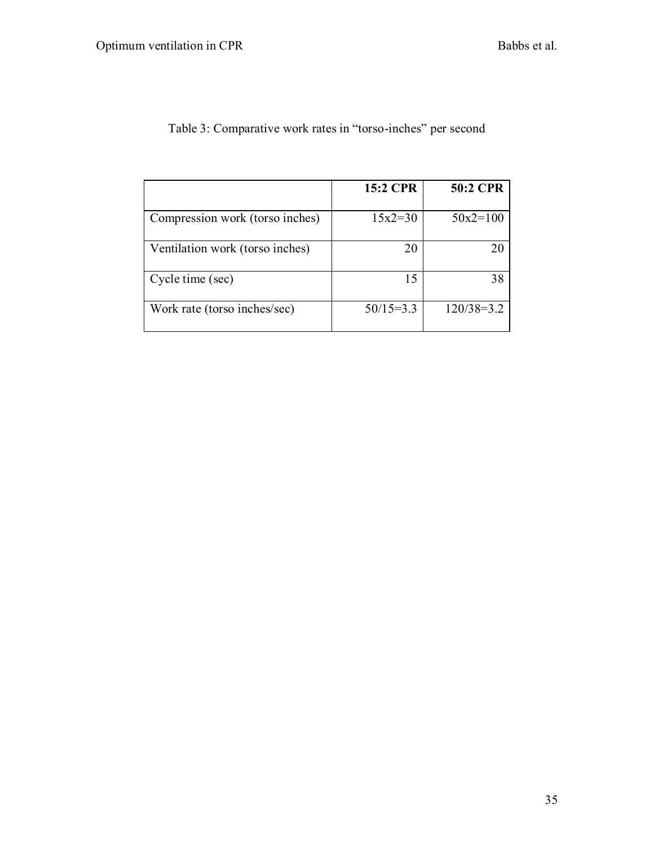|                                 | 15:2 CPR    | 50:2 CPR     |
|---------------------------------|-------------|--------------|
| Compression work (torso inches) | $15x2=30$   | $50x2=100$   |
| Ventilation work (torso inches) | 20          | 20           |
| Cycle time (sec)                | 15          | 38           |
| Work rate (torso inches/sec)    | $50/15=3.3$ | $120/38=3.2$ |

# Table 3: Comparative work rates in "torso-inches" per second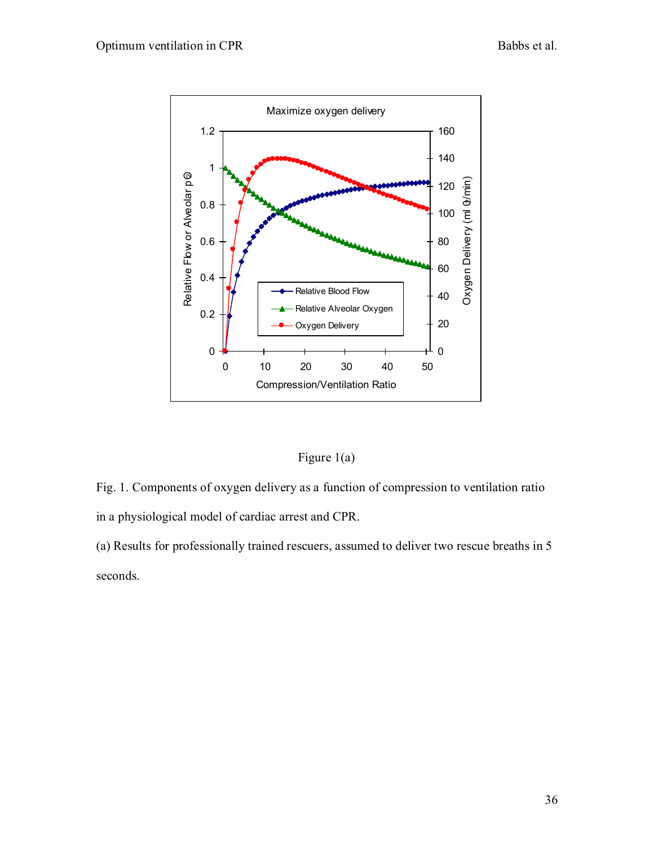

## Figure 1(a)

Fig. 1. Components of oxygen delivery as a function of compression to ventilation ratio in a physiological model of cardiac arrest and CPR.

(a) Results for professionally trained rescuers, assumed to deliver two rescue breaths in 5 seconds.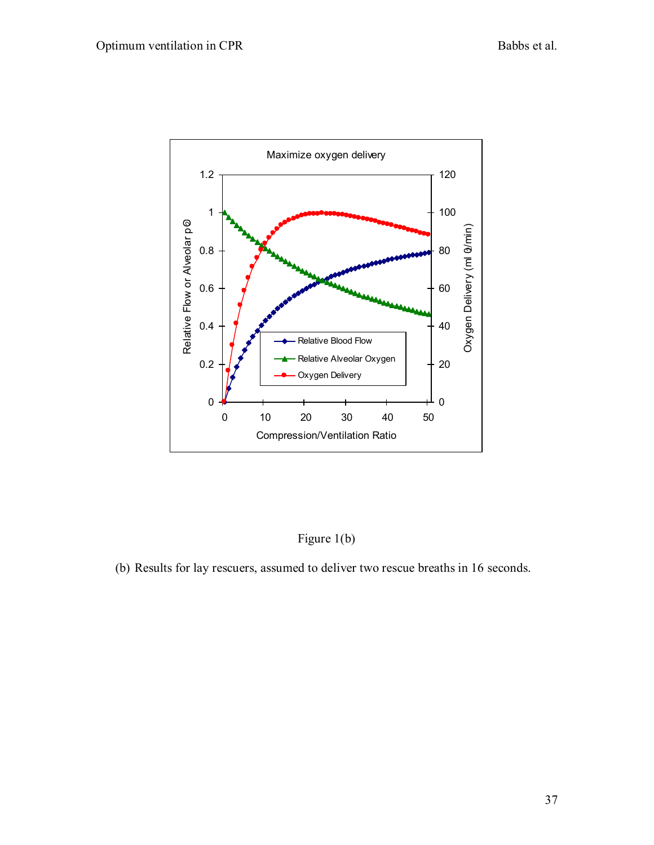

Figure 1(b)

(b) Results for lay rescuers, assumed to deliver two rescue breaths in 16 seconds.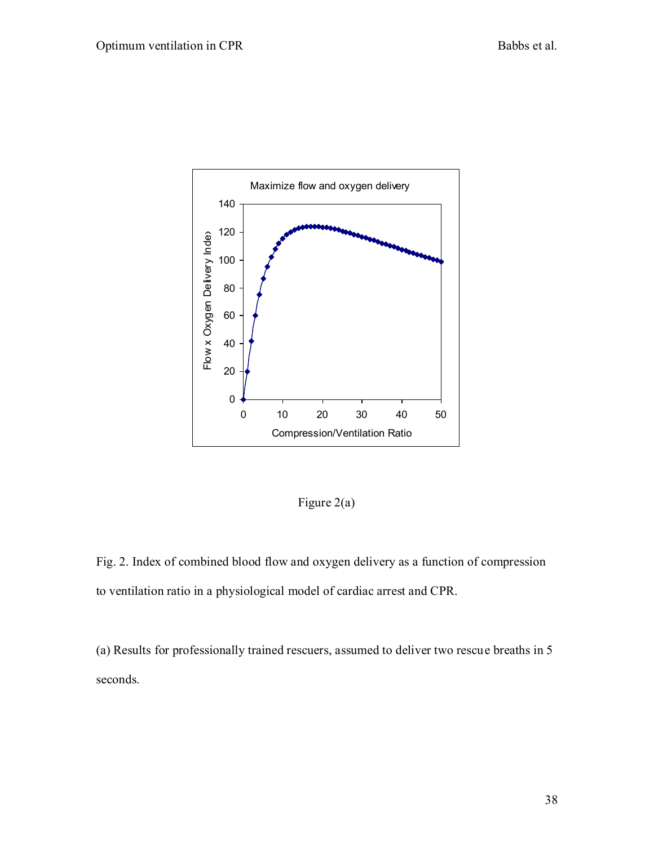

Figure 2(a)

Fig. 2. Index of combined blood flow and oxygen delivery as a function of compression to ventilation ratio in a physiological model of cardiac arrest and CPR.

(a) Results for professionally trained rescuers, assumed to deliver two rescue breaths in 5 seconds.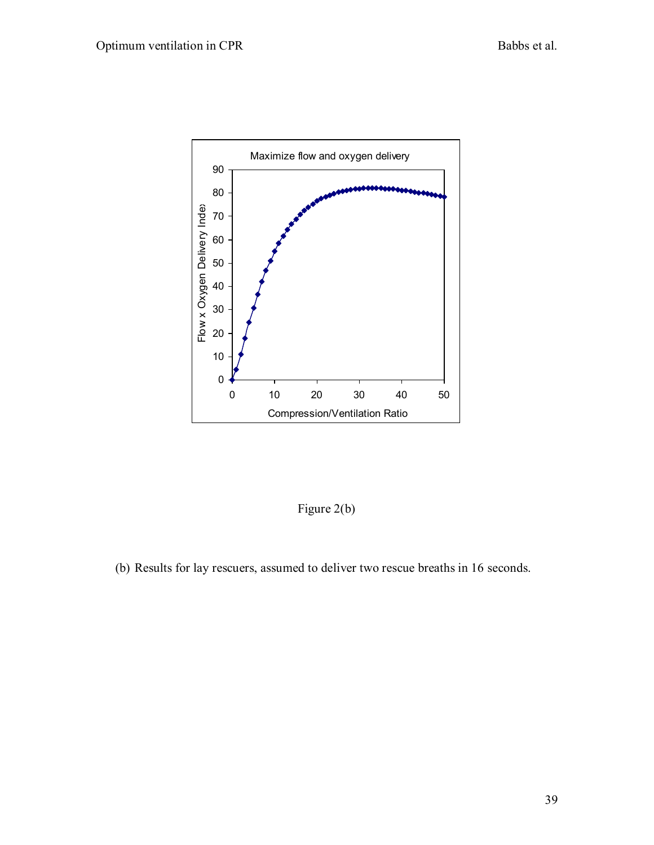

Figure 2(b)

(b) Results for lay rescuers, assumed to deliver two rescue breaths in 16 seconds.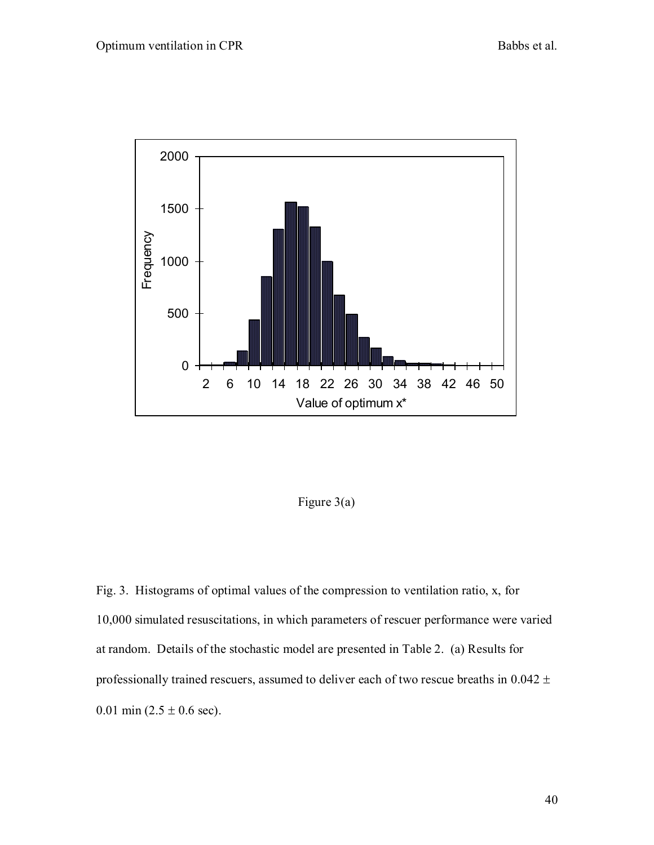

Figure 3(a)

Fig. 3. Histograms of optimal values of the compression to ventilation ratio, x, for 10,000 simulated resuscitations, in which parameters of rescuer performance were varied at random. Details of the stochastic model are presented in Table 2. (a) Results for professionally trained rescuers, assumed to deliver each of two rescue breaths in  $0.042 \pm$ 0.01 min  $(2.5 \pm 0.6 \text{ sec})$ .